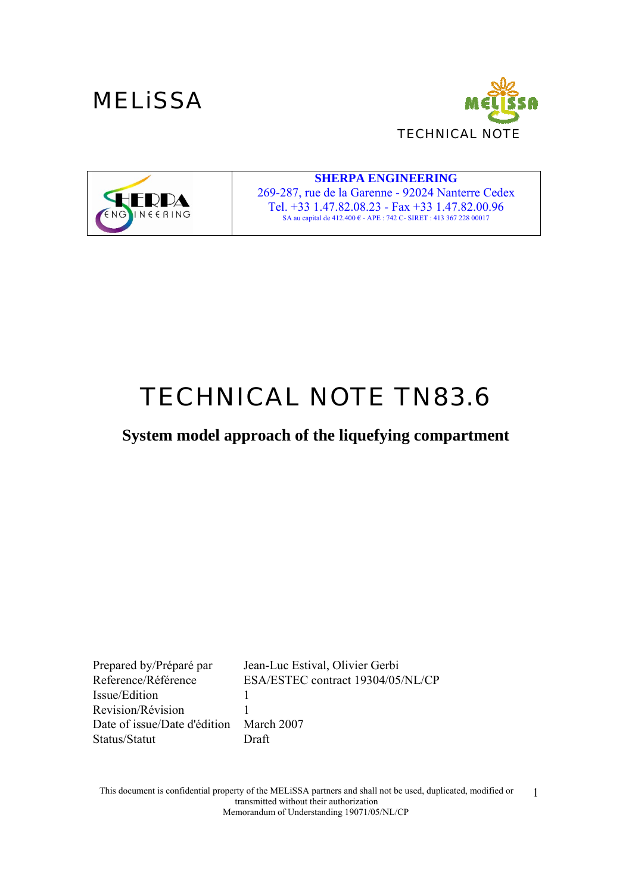





**SHERPA ENGINEERING**  269-287, rue de la Garenne - 92024 Nanterre Cedex Tel. +33 1.47.82.08.23 - Fax +33 1.47.82.00.96 SA au capital de 412.400 € - APE : 742 C- SIRET : 413 367 228 00017

# *TECHNICAL NOTE TN83.6*

## **System model approach of the liquefying compartment**

Prepared by/Préparé par Jean-Luc Estival, Olivier Gerbi Reference/Référence ESA/ESTEC contract 19304/05/NL/CP Issue/Edition 1 Revision/Révision 1 Date of issue/Date d'édition March 2007 Status/Statut Draft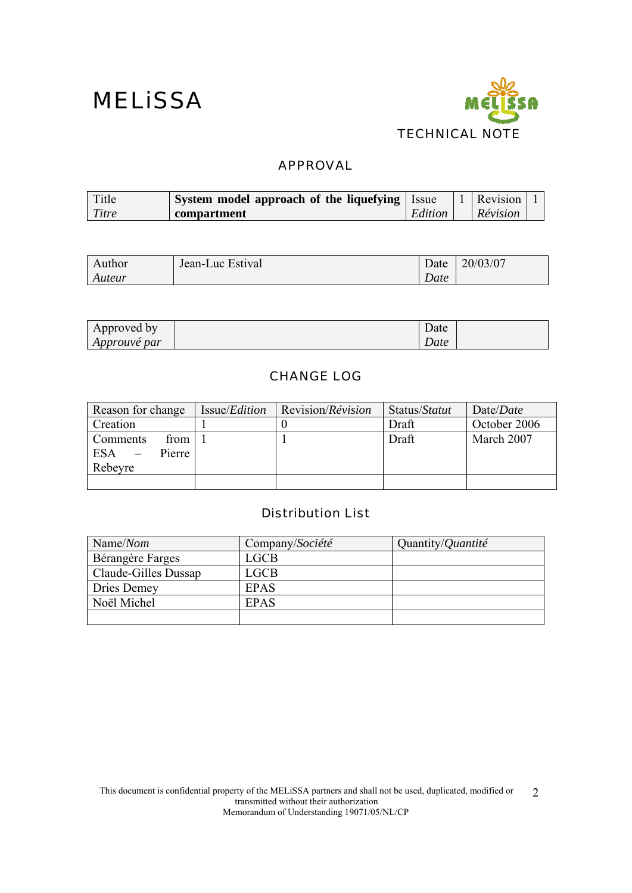

### APPROVAL

| Title | <b>System model approach of the liquefying   Issue</b> |         | 1 Revision |  |
|-------|--------------------------------------------------------|---------|------------|--|
| Titre | compartment                                            | Edition | Révision   |  |

| Author | Jean-Luc Estival | Date | 20/03/07 |
|--------|------------------|------|----------|
| Auteur |                  | Date |          |

| Approved by         | $\overline{\phantom{a}}$ | Date |
|---------------------|--------------------------|------|
| <i>Approuvé par</i> |                          | Date |

### CHANGE LOG

| Reason for change                                   | Issue/ <i>Edition</i> | Revision/ <i>Révision</i> | Status/Statut | Date/ <i>Date</i> |
|-----------------------------------------------------|-----------------------|---------------------------|---------------|-------------------|
| Creation                                            |                       |                           | Draft         | October 2006      |
| from<br>Comments<br><b>ESA</b><br>Pierre<br>Rebeyre |                       |                           | Draft         | March 2007        |
|                                                     |                       |                           |               |                   |

### Distribution List

| Name/Nom             | Company/Société | Quantity/ <i>Quantité</i> |
|----------------------|-----------------|---------------------------|
| Bérangère Farges     | LGCB            |                           |
| Claude-Gilles Dussap | LGCB            |                           |
| Dries Demey          | <b>EPAS</b>     |                           |
| Noël Michel          | <b>EPAS</b>     |                           |
|                      |                 |                           |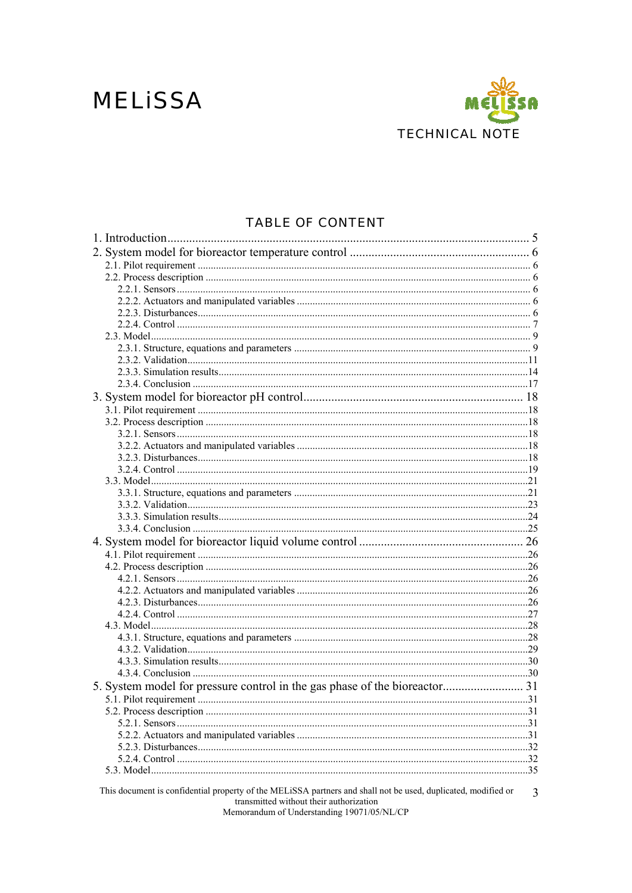## **MELISSA**



### **TABLE OF CONTENT**

| 5. System model for pressure control in the gas phase of the bioreactor 31                                    |     |
|---------------------------------------------------------------------------------------------------------------|-----|
|                                                                                                               |     |
|                                                                                                               | .31 |
|                                                                                                               |     |
|                                                                                                               |     |
|                                                                                                               |     |
|                                                                                                               |     |
|                                                                                                               |     |
| This document is confidential property of the MELiSSA partners and shall not be used, duplicated, modified or | 3   |

transmitted without their authorization<br>Memorandum of Understanding 19071/05/NL/CP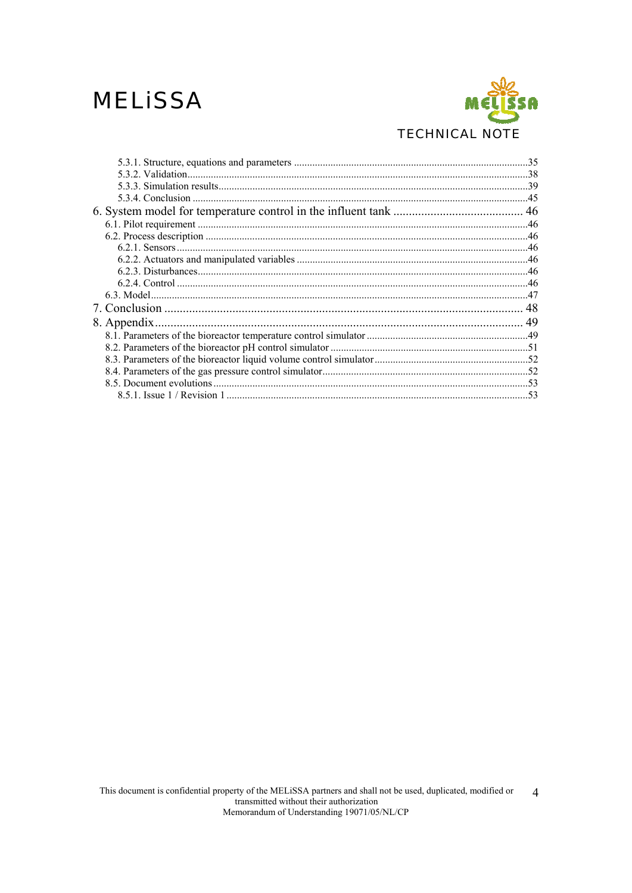## **MELISSA**

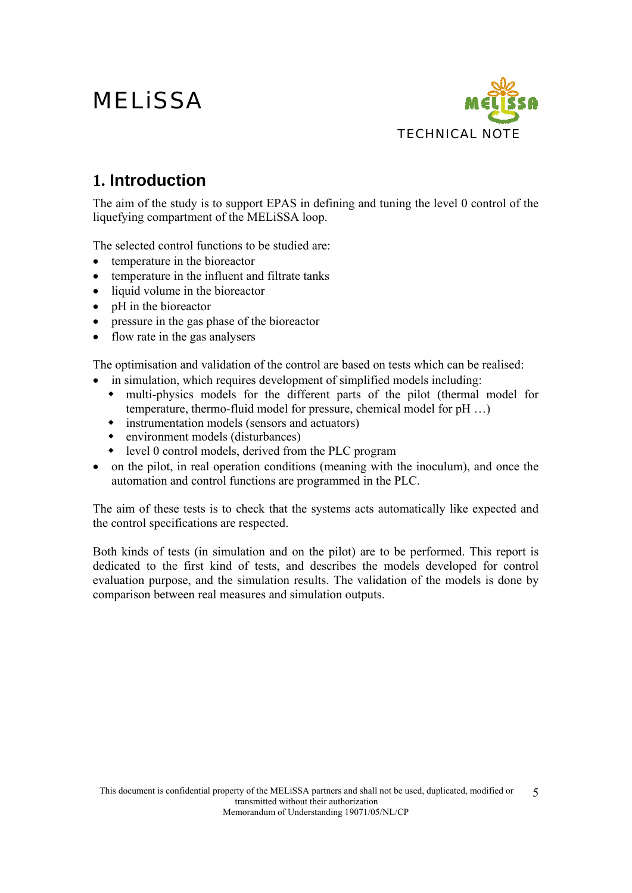

## **1. Introduction**

The aim of the study is to support EPAS in defining and tuning the level 0 control of the liquefying compartment of the MELiSSA loop.

The selected control functions to be studied are:

- temperature in the bioreactor
- temperature in the influent and filtrate tanks
- liquid volume in the bioreactor
- pH in the bioreactor
- pressure in the gas phase of the bioreactor
- flow rate in the gas analysers

The optimisation and validation of the control are based on tests which can be realised:

- in simulation, which requires development of simplified models including:
	- multi-physics models for the different parts of the pilot (thermal model for temperature, thermo-fluid model for pressure, chemical model for pH …)
	- instrumentation models (sensors and actuators)
	- environment models (disturbances)
	- level 0 control models, derived from the PLC program
- on the pilot, in real operation conditions (meaning with the inoculum), and once the automation and control functions are programmed in the PLC.

The aim of these tests is to check that the systems acts automatically like expected and the control specifications are respected.

Both kinds of tests (in simulation and on the pilot) are to be performed. This report is dedicated to the first kind of tests, and describes the models developed for control evaluation purpose, and the simulation results. The validation of the models is done by comparison between real measures and simulation outputs.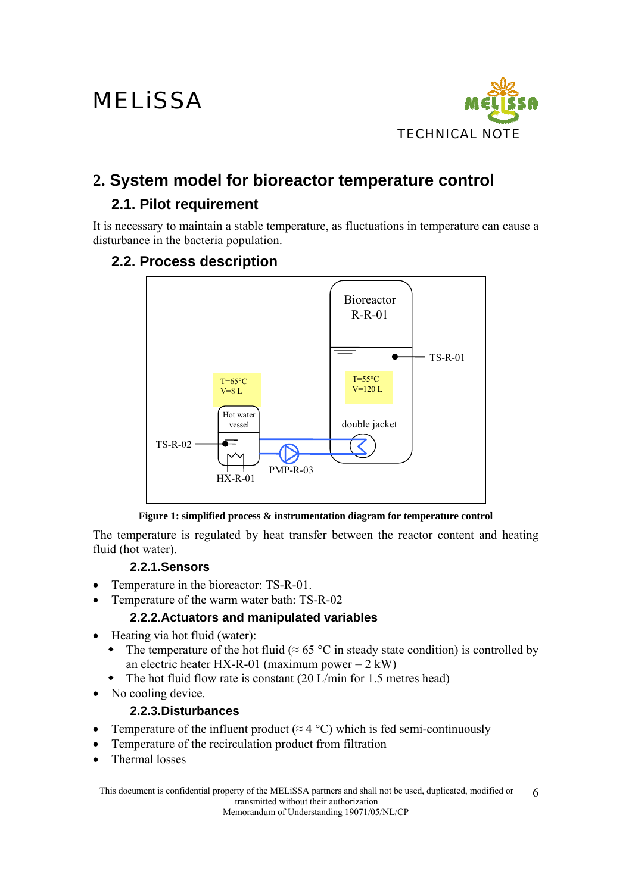

## **2. System model for bioreactor temperature control**

## **2.1. Pilot requirement**

It is necessary to maintain a stable temperature, as fluctuations in temperature can cause a disturbance in the bacteria population.

### **2.2. Process description**



#### **Figure 1: simplified process & instrumentation diagram for temperature control**

The temperature is regulated by heat transfer between the reactor content and heating fluid (hot water).

### **2.2.1.Sensors**

- Temperature in the bioreactor: TS-R-01.
- Temperature of the warm water bath: TS-R-02

### **2.2.2.Actuators and manipulated variables**

- Heating via hot fluid (water):
	- The temperature of the hot fluid ( $\approx 65$  °C in steady state condition) is controlled by an electric heater HX-R-01 (maximum power =  $2 \text{ kW}$ )
	- The hot fluid flow rate is constant (20 L/min for 1.5 metres head)
- No cooling device.

### **2.2.3.Disturbances**

- Temperature of the influent product ( $\approx$  4 °C) which is fed semi-continuously
- Temperature of the recirculation product from filtration
- Thermal losses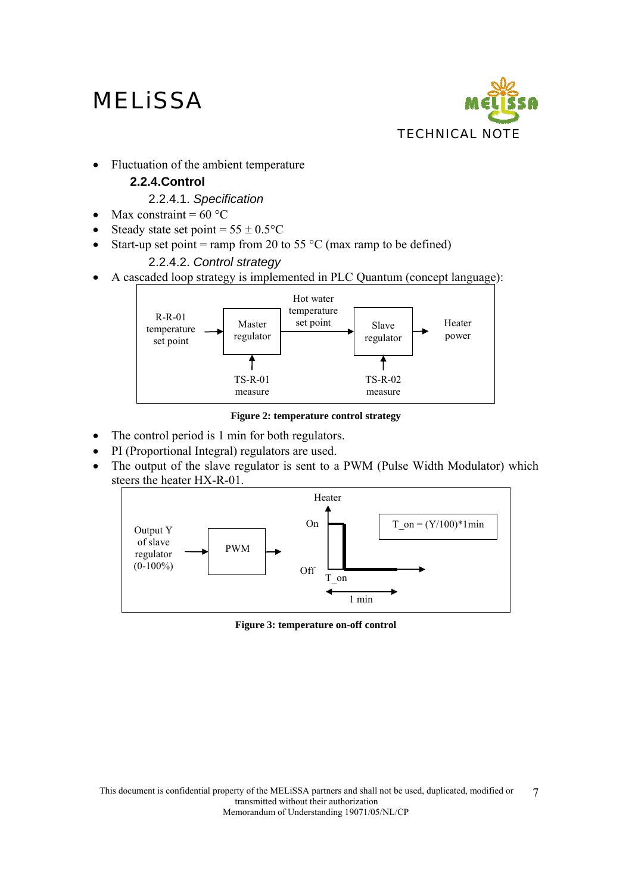

• Fluctuation of the ambient temperature

### **2.2.4.Control**

### 2.2.4.1. *Specification*

- Max constraint =  $60^{\circ}$ C
- Steady state set point =  $55 \pm 0.5$ °C
- Start-up set point = ramp from 20 to 55  $^{\circ}$ C (max ramp to be defined)

### 2.2.4.2. *Control strategy*

• A cascaded loop strategy is implemented in PLC Quantum (concept language):



**Figure 2: temperature control strategy** 

- The control period is 1 min for both regulators.
- PI (Proportional Integral) regulators are used.
- The output of the slave regulator is sent to a PWM (Pulse Width Modulator) which steers the heater HX-R-01.



**Figure 3: temperature on-off control**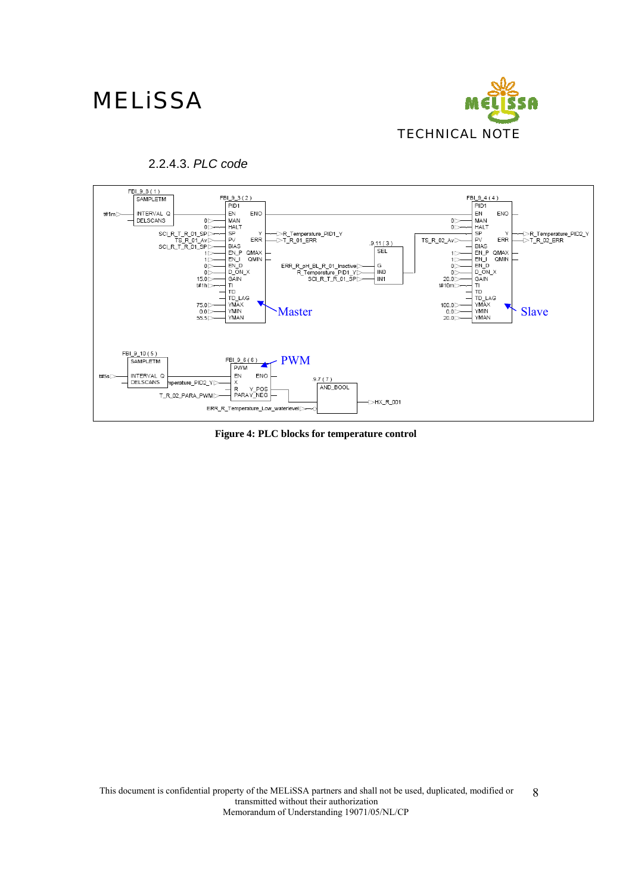



#### 2.2.4.3. *PLC code*

**Figure 4: PLC blocks for temperature control**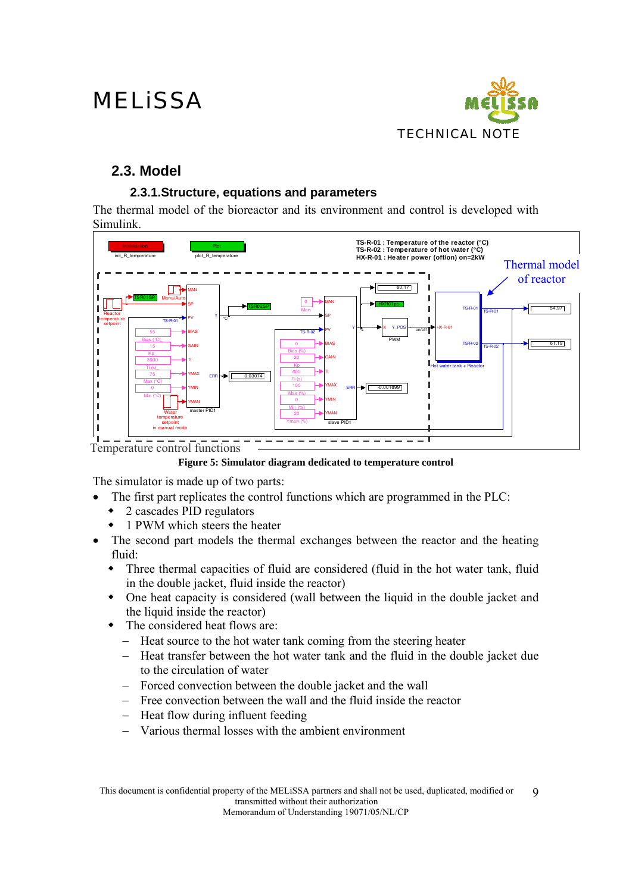

## **2.3. Model**

### **2.3.1.Structure, equations and parameters**

The thermal model of the bioreactor and its environment and control is developed with Simulink.



**Figure 5: Simulator diagram dedicated to temperature control** 

The simulator is made up of two parts:

- The first part replicates the control functions which are programmed in the PLC:
	- 2 cascades PID regulators
	- 1 PWM which steers the heater
- The second part models the thermal exchanges between the reactor and the heating fluid:
	- Three thermal capacities of fluid are considered (fluid in the hot water tank, fluid in the double jacket, fluid inside the reactor)
	- One heat capacity is considered (wall between the liquid in the double jacket and the liquid inside the reactor)
	- The considered heat flows are:
		- − Heat source to the hot water tank coming from the steering heater
		- − Heat transfer between the hot water tank and the fluid in the double jacket due to the circulation of water
		- − Forced convection between the double jacket and the wall
		- − Free convection between the wall and the fluid inside the reactor
		- − Heat flow during influent feeding
		- − Various thermal losses with the ambient environment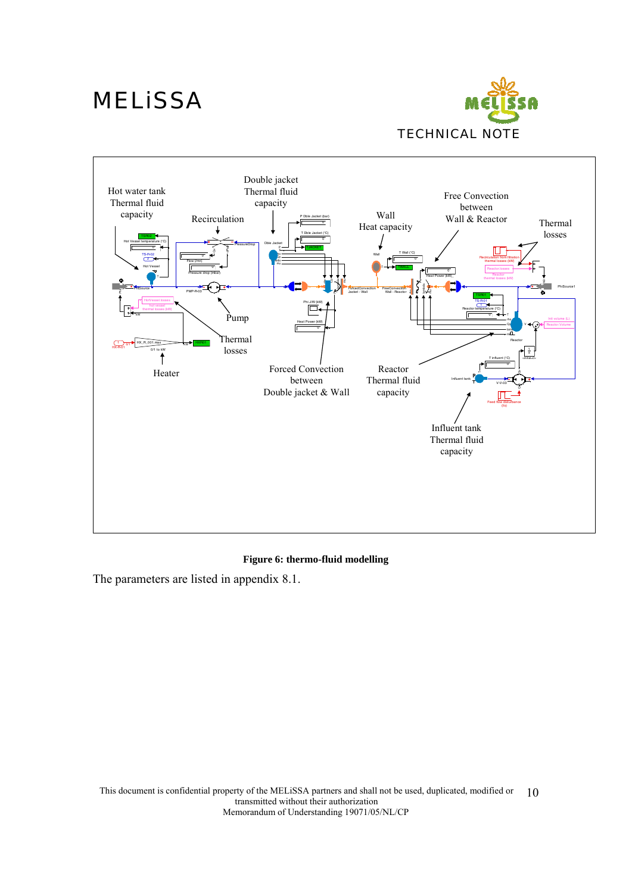



#### **Figure 6: thermo-fluid modelling**

The parameters are listed in appendix 8.1.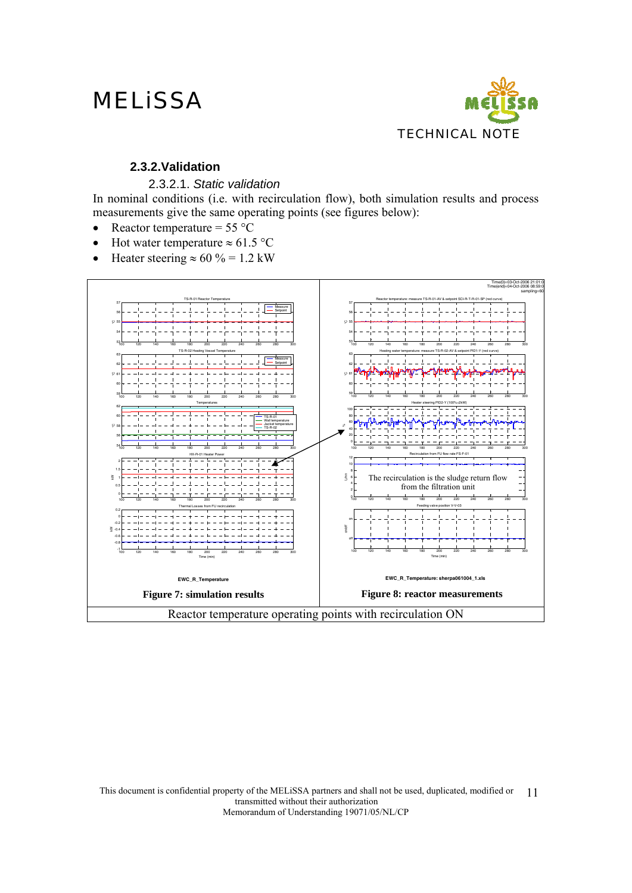

### **2.3.2.Validation**

#### 2.3.2.1. *Static validation*

In nominal conditions (i.e. with recirculation flow), both simulation results and process measurements give the same operating points (see figures below):

- Reactor temperature =  $55^{\circ}$ C
- Hot water temperature  $\approx 61.5$  °C
- Heater steering  $\approx 60 \% = 1.2$  kW

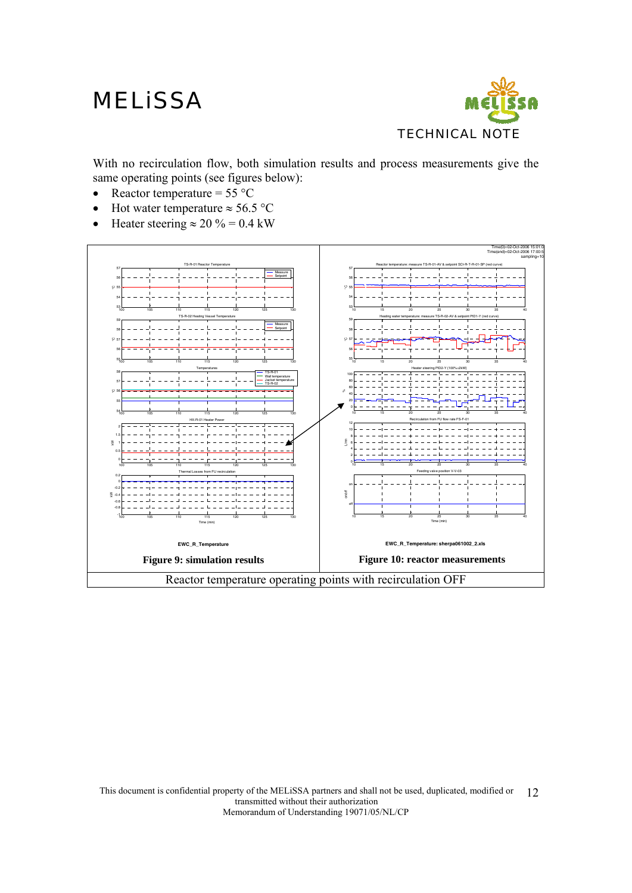

With no recirculation flow, both simulation results and process measurements give the same operating points (see figures below):

- Reactor temperature =  $55^{\circ}$ C
- Hot water temperature  $\approx 56.5$  °C
- Heater steering  $\approx 20 \% = 0.4$  kW

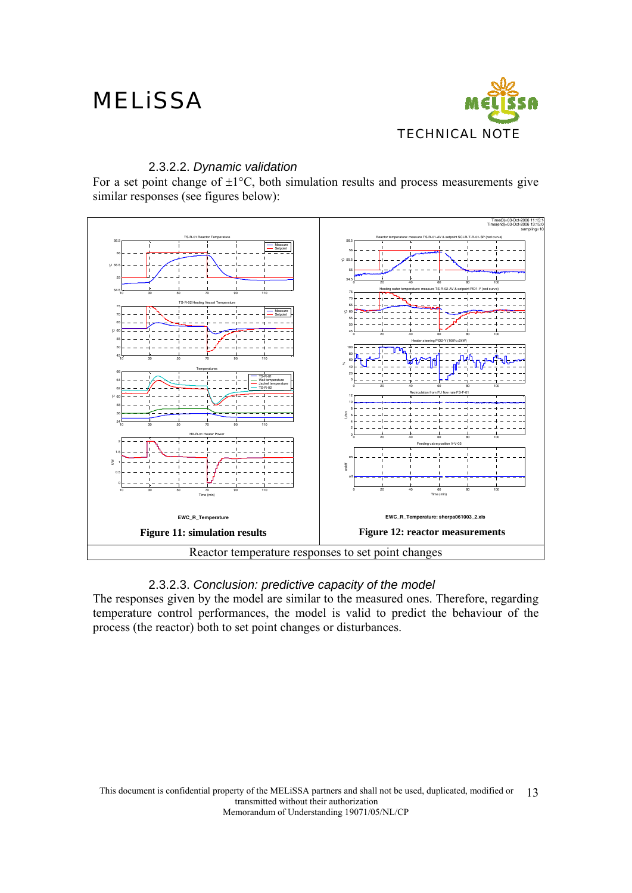

#### 2.3.2.2. *Dynamic validation*

For a set point change of  $\pm 1^{\circ}$ C, both simulation results and process measurements give similar responses (see figures below):



### 2.3.2.3. *Conclusion: predictive capacity of the model*

The responses given by the model are similar to the measured ones. Therefore, regarding temperature control performances, the model is valid to predict the behaviour of the process (the reactor) both to set point changes or disturbances.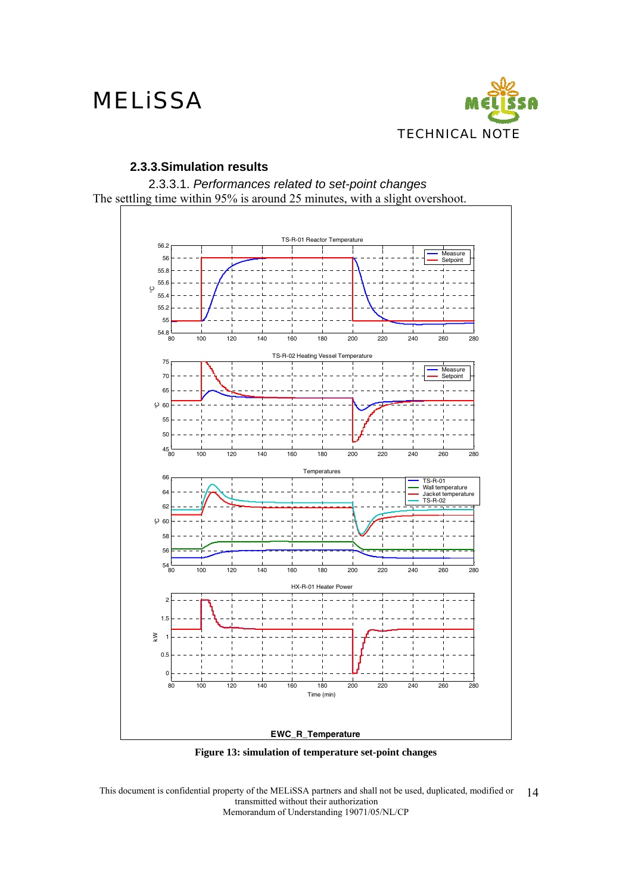

#### **2.3.3.Simulation results**





**Figure 13: simulation of temperature set-point changes**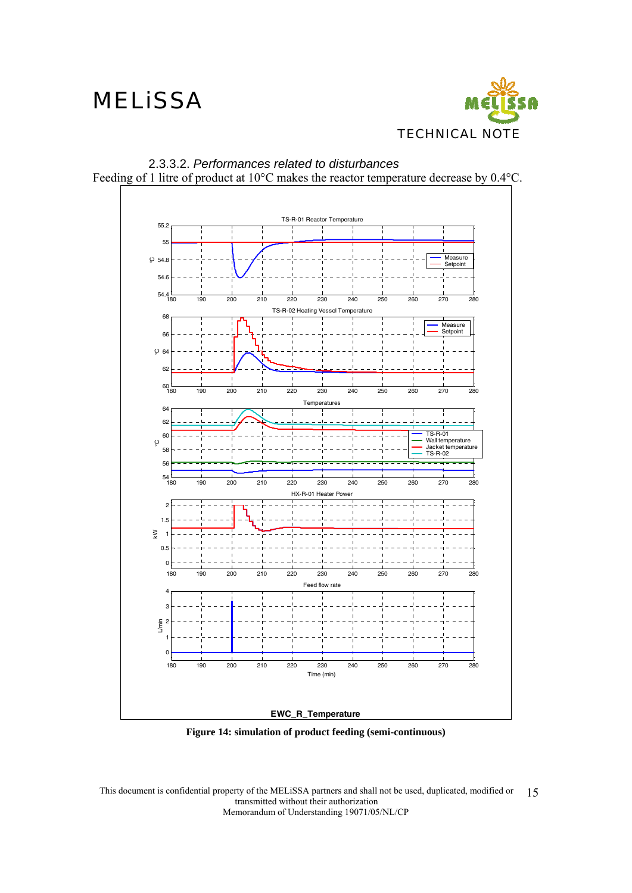



2.3.3.2. *Performances related to disturbances*  Feeding of 1 litre of product at 10°C makes the reactor temperature decrease by 0.4°C.

**Figure 14: simulation of product feeding (semi-continuous)**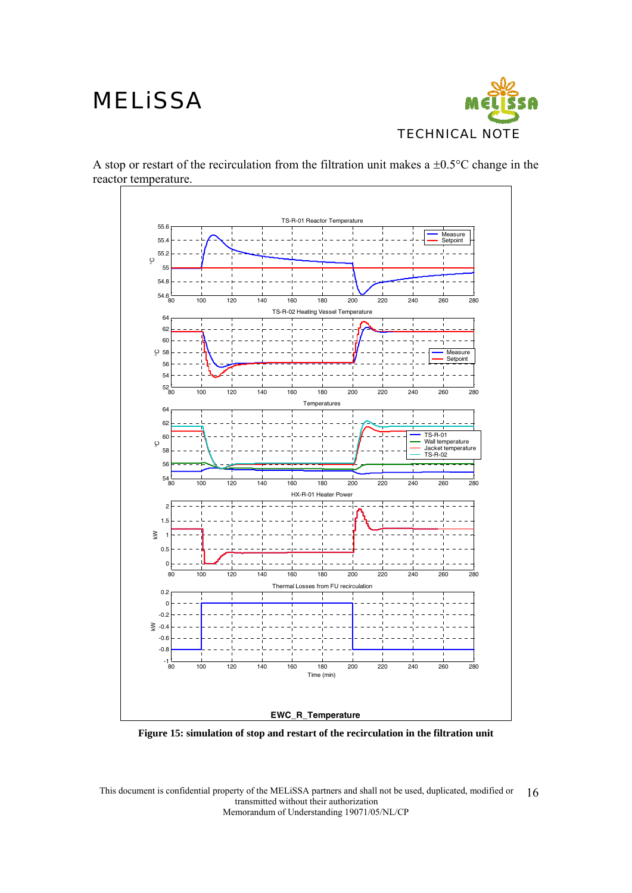

A stop or restart of the recirculation from the filtration unit makes a  $\pm 0.5^{\circ}$ C change in the reactor temperature.



**Figure 15: simulation of stop and restart of the recirculation in the filtration unit**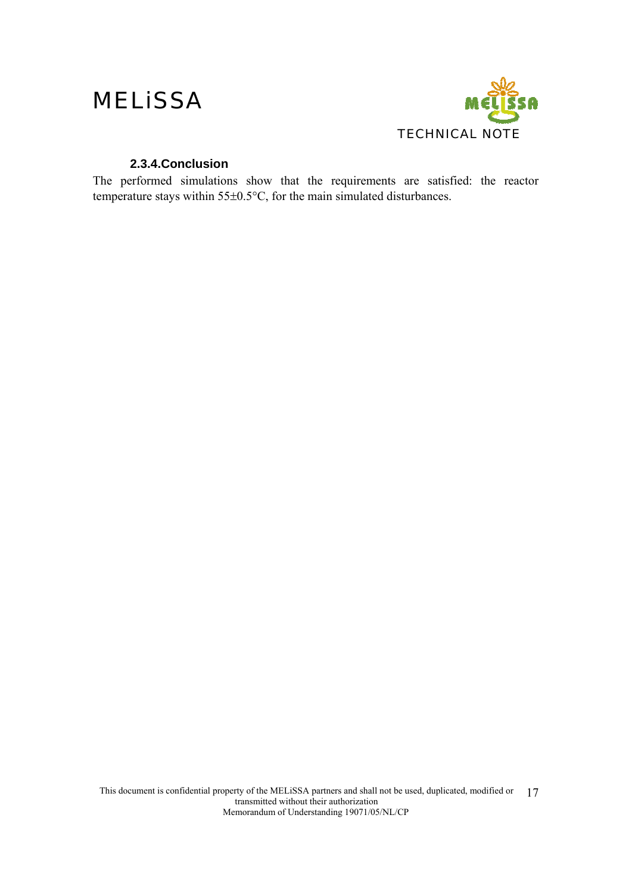

### **2.3.4.Conclusion**

The performed simulations show that the requirements are satisfied: the reactor temperature stays within 55±0.5°C, for the main simulated disturbances.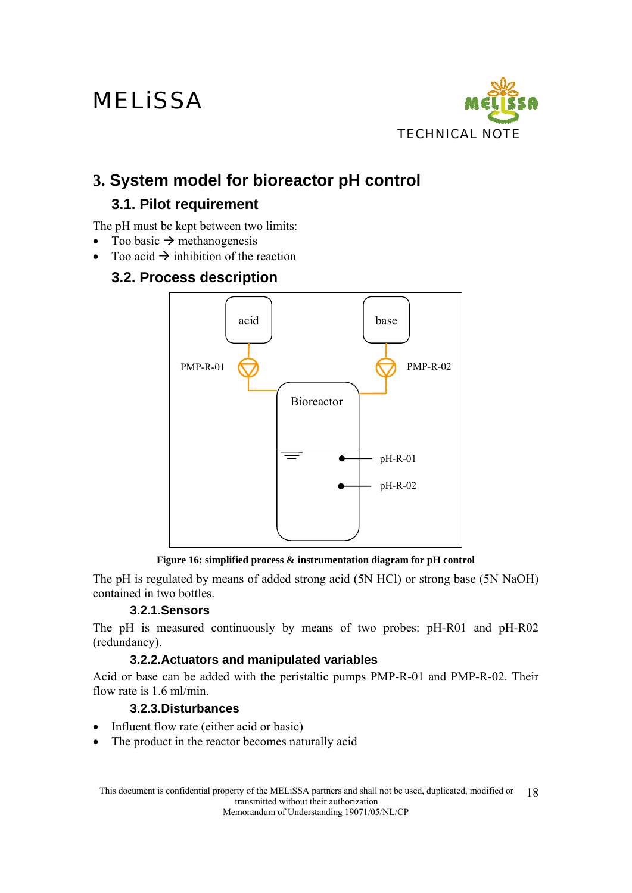

## **3. System model for bioreactor pH control**

## **3.1. Pilot requirement**

The pH must be kept between two limits:

- Too basic  $\rightarrow$  methanogenesis
- Too acid  $\rightarrow$  inhibition of the reaction

### **3.2. Process description**



**Figure 16: simplified process & instrumentation diagram for pH control** 

The pH is regulated by means of added strong acid (5N HCl) or strong base (5N NaOH) contained in two bottles.

### **3.2.1.Sensors**

The pH is measured continuously by means of two probes: pH-R01 and pH-R02 (redundancy).

### **3.2.2.Actuators and manipulated variables**

Acid or base can be added with the peristaltic pumps PMP-R-01 and PMP-R-02. Their flow rate is 1.6 ml/min.

### **3.2.3.Disturbances**

- Influent flow rate (either acid or basic)
- The product in the reactor becomes naturally acid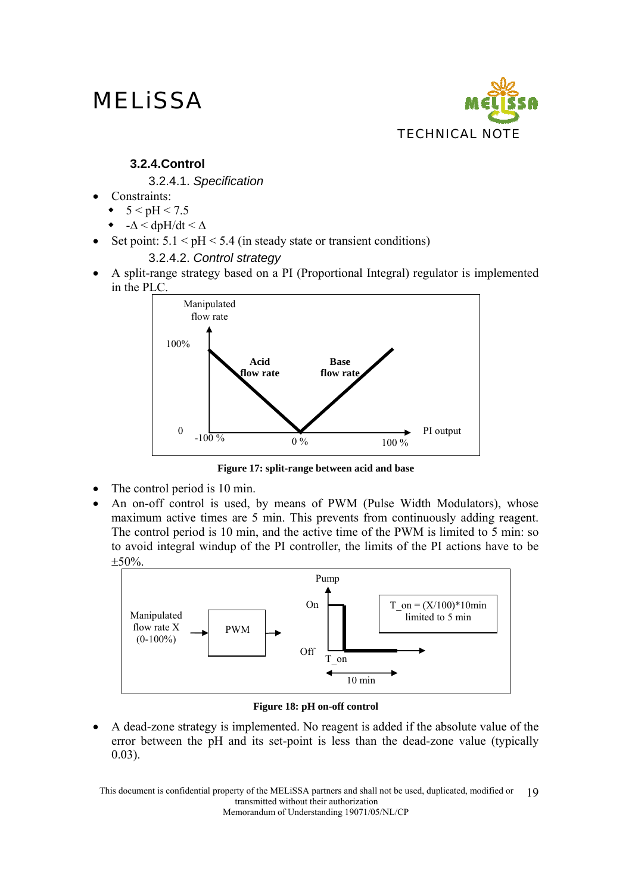

### **3.2.4.Control**

3.2.4.1. *Specification* 

- Constraints:
	- $\bullet$  5 < pH < 7.5
	- - $\Delta$  < dpH/dt <  $\Delta$
- Set point:  $5.1 < pH < 5.4$  (in steady state or transient conditions)

### 3.2.4.2. *Control strategy*

• A split-range strategy based on a PI (Proportional Integral) regulator is implemented in the PLC.



**Figure 17: split-range between acid and base** 

- The control period is 10 min.
- An on-off control is used, by means of PWM (Pulse Width Modulators), whose maximum active times are 5 min. This prevents from continuously adding reagent. The control period is 10 min, and the active time of the PWM is limited to 5 min: so to avoid integral windup of the PI controller, the limits of the PI actions have to be ±50%.



#### **Figure 18: pH on-off control**

• A dead-zone strategy is implemented. No reagent is added if the absolute value of the error between the pH and its set-point is less than the dead-zone value (typically 0.03).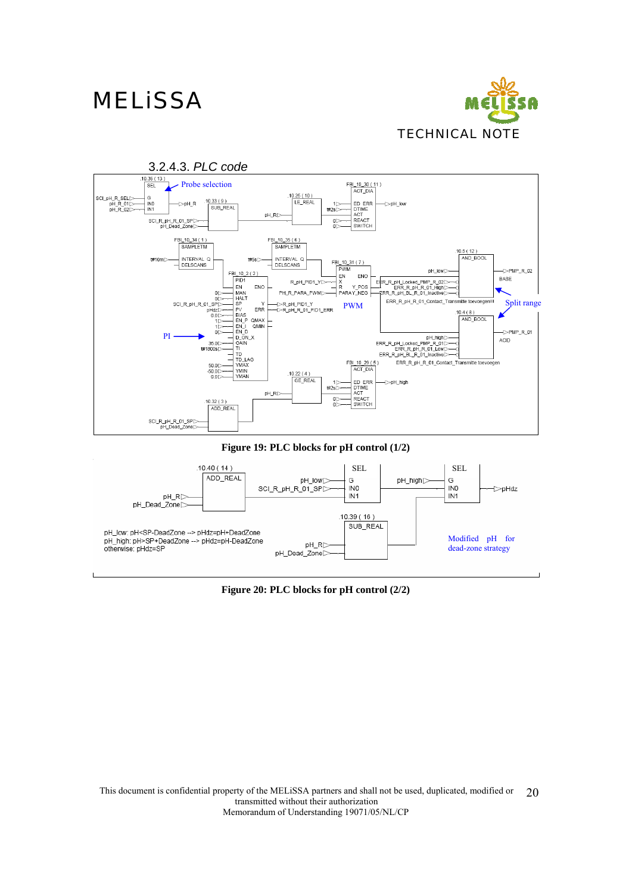



**Figure 19: PLC blocks for pH control (1/2)** 



**Figure 20: PLC blocks for pH control (2/2)**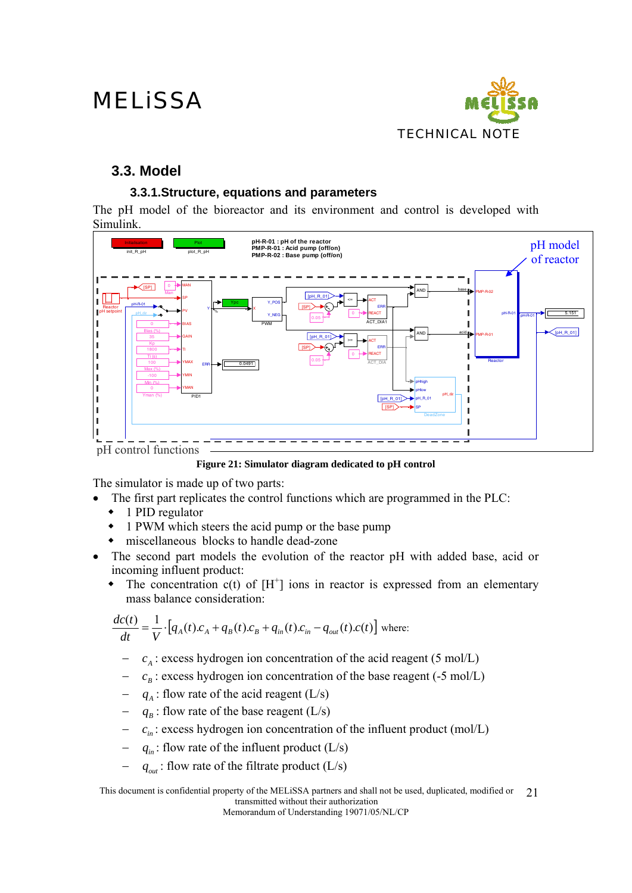

### **3.3. Model**

### **3.3.1.Structure, equations and parameters**

The pH model of the bioreactor and its environment and control is developed with Simulink.



**Figure 21: Simulator diagram dedicated to pH control** 

The simulator is made up of two parts:

- The first part replicates the control functions which are programmed in the PLC:
- ◆ 1 PID regulator
- 1 PWM which steers the acid pump or the base pump
- miscellaneous blocks to handle dead-zone
- The second part models the evolution of the reactor pH with added base, acid or incoming influent product:
	- $\bullet$  The concentration c(t) of  $[H^+]$  ions in reactor is expressed from an elementary mass balance consideration:

$$
\frac{dc(t)}{dt} = \frac{1}{V} \cdot [q_A(t).c_A + q_B(t).c_B + q_m(t).c_m - q_{out}(t).c(t)]
$$
 where:

- $c_A$ : excess hydrogen ion concentration of the acid reagent (5 mol/L)
- $c<sub>B</sub>$ : excess hydrogen ion concentration of the base reagent (-5 mol/L)
- $q_A$ : flow rate of the acid reagent (L/s)
- $q_B$ : flow rate of the base reagent (L/s)
- $c<sub>m</sub>$  : excess hydrogen ion concentration of the influent product (mol/L)
- $q_{in}$ : flow rate of the influent product (L/s)
- $q_{out}$ : flow rate of the filtrate product (L/s)

This document is confidential property of the MELiSSA partners and shall not be used, duplicated, modified or transmitted without their authorization 21

Memorandum of Understanding 19071/05/NL/CP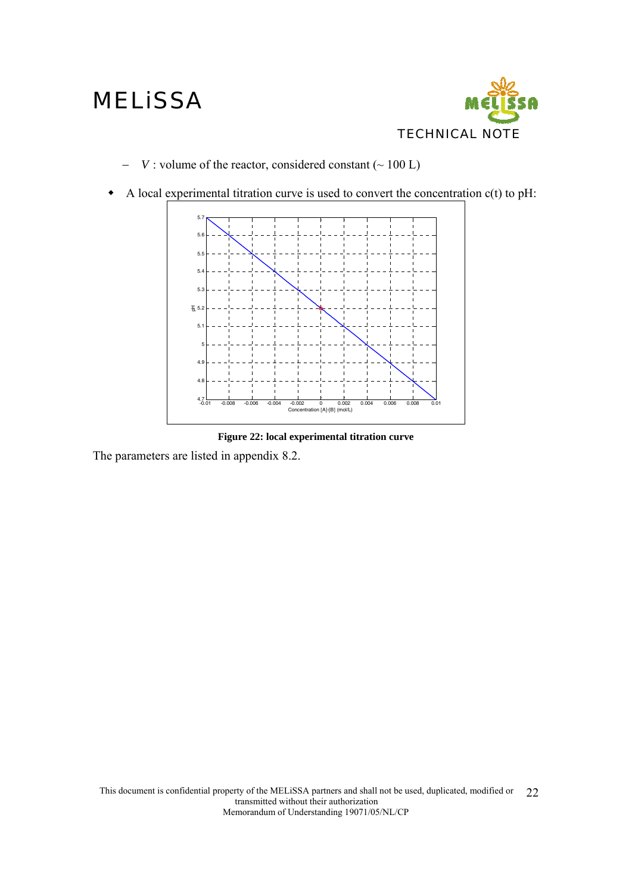

- − *V* : volume of the reactor, considered constant (~ 100 L)
- A local experimental titration curve is used to convert the concentration  $c(t)$  to pH:



**Figure 22: local experimental titration curve** 

The parameters are listed in appendix 8.2.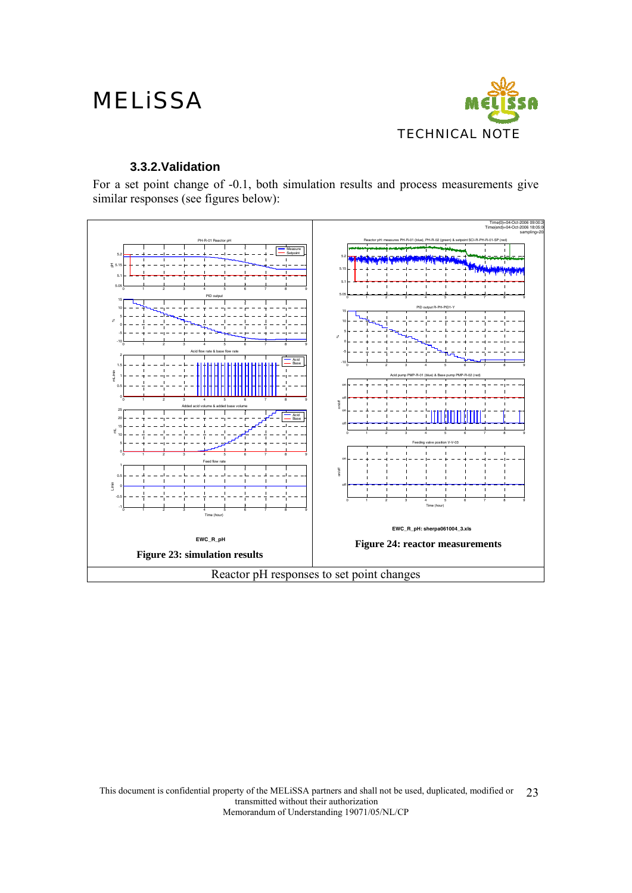

#### **3.3.2.Validation**

For a set point change of -0.1, both simulation results and process measurements give similar responses (see figures below):

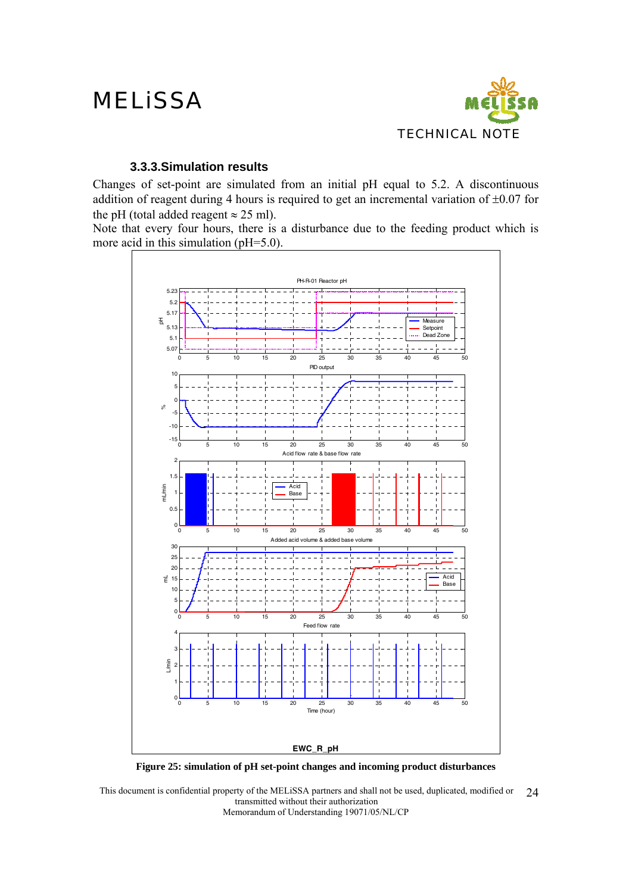

#### **3.3.3.Simulation results**

Changes of set-point are simulated from an initial pH equal to 5.2. A discontinuous addition of reagent during 4 hours is required to get an incremental variation of  $\pm 0.07$  for the pH (total added reagent  $\approx$  25 ml).

Note that every four hours, there is a disturbance due to the feeding product which is more acid in this simulation (pH=5.0).



**Figure 25: simulation of pH set-point changes and incoming product disturbances**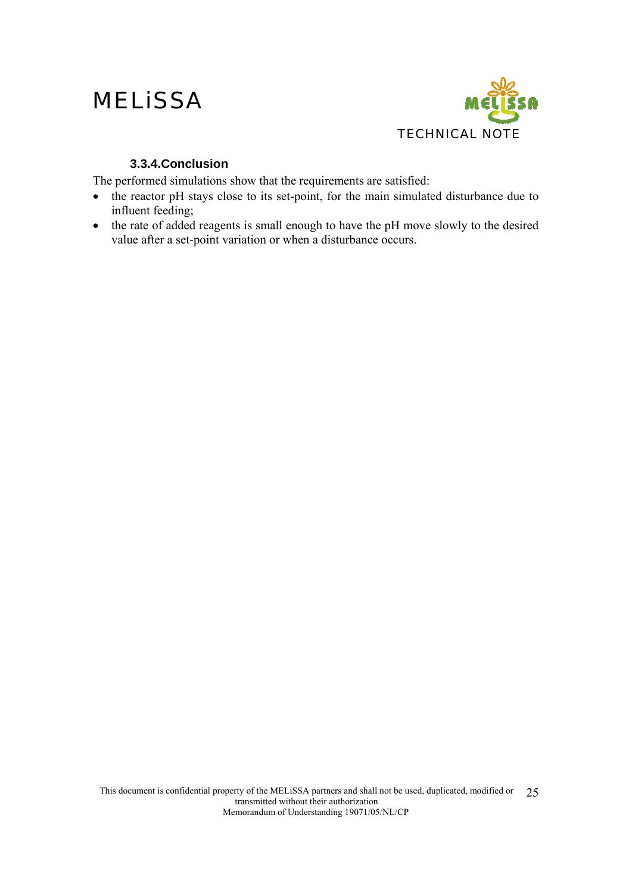

### **3.3.4.Conclusion**

The performed simulations show that the requirements are satisfied:

- the reactor pH stays close to its set-point, for the main simulated disturbance due to influent feeding;
- the rate of added reagents is small enough to have the pH move slowly to the desired value after a set-point variation or when a disturbance occurs.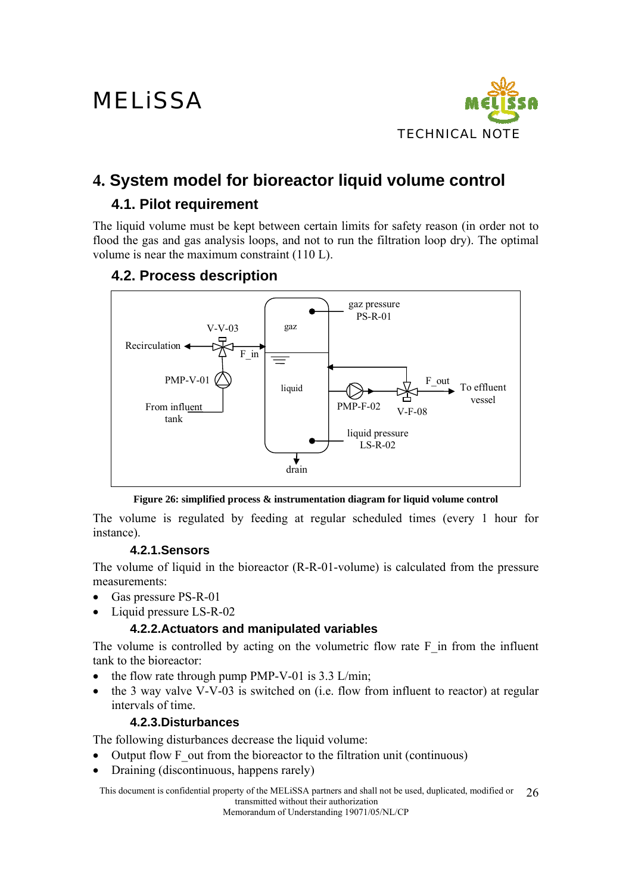

## **4. System model for bioreactor liquid volume control**

## **4.1. Pilot requirement**

The liquid volume must be kept between certain limits for safety reason (in order not to flood the gas and gas analysis loops, and not to run the filtration loop dry). The optimal volume is near the maximum constraint (110 L).

### **4.2. Process description**



**Figure 26: simplified process & instrumentation diagram for liquid volume control** 

The volume is regulated by feeding at regular scheduled times (every 1 hour for instance).

### **4.2.1.Sensors**

The volume of liquid in the bioreactor (R-R-01-volume) is calculated from the pressure measurements:

- Gas pressure PS-R-01
- Liquid pressure LS-R-02

### **4.2.2.Actuators and manipulated variables**

The volume is controlled by acting on the volumetric flow rate  $F$  in from the influent tank to the bioreactor:

- the flow rate through pump PMP-V-01 is  $3.3$  L/min;
- the 3 way valve V-V-03 is switched on (i.e. flow from influent to reactor) at regular intervals of time.

### **4.2.3.Disturbances**

The following disturbances decrease the liquid volume:

- Output flow F out from the bioreactor to the filtration unit (continuous)
- Draining (discontinuous, happens rarely)

This document is confidential property of the MELiSSA partners and shall not be used, duplicated, modified or transmitted without their authorization 26

Memorandum of Understanding 19071/05/NL/CP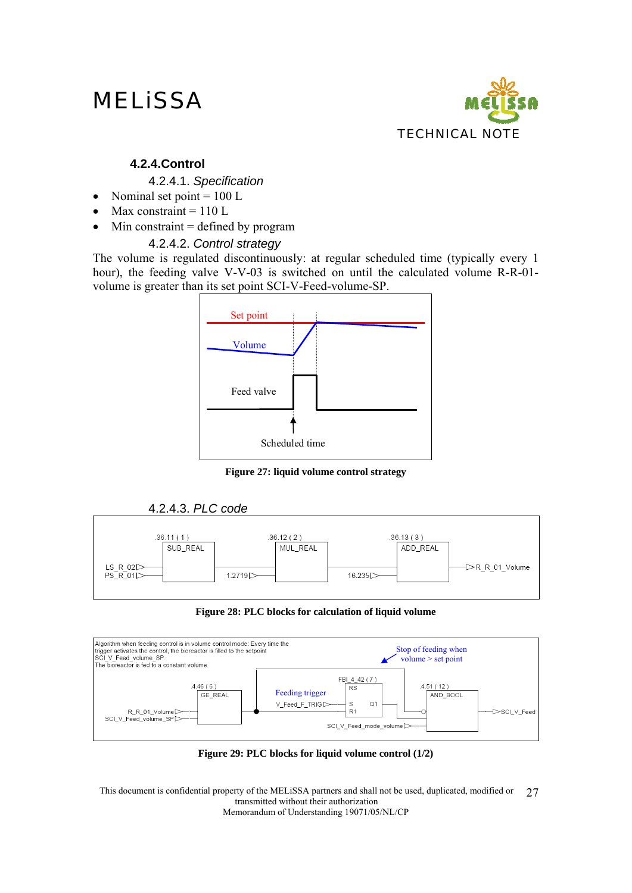

### **4.2.4.Control**

#### 4.2.4.1. *Specification*

- Nominal set point  $= 100$  L
- Max constraint  $= 110$  L
- Min constraint  $=$  defined by program

### 4.2.4.2. *Control strategy*

The volume is regulated discontinuously: at regular scheduled time (typically every 1 hour), the feeding valve V-V-03 is switched on until the calculated volume R-R-01 volume is greater than its set point SCI-V-Feed-volume-SP.



**Figure 27: liquid volume control strategy** 





#### **Figure 28: PLC blocks for calculation of liquid volume**



**Figure 29: PLC blocks for liquid volume control (1/2)**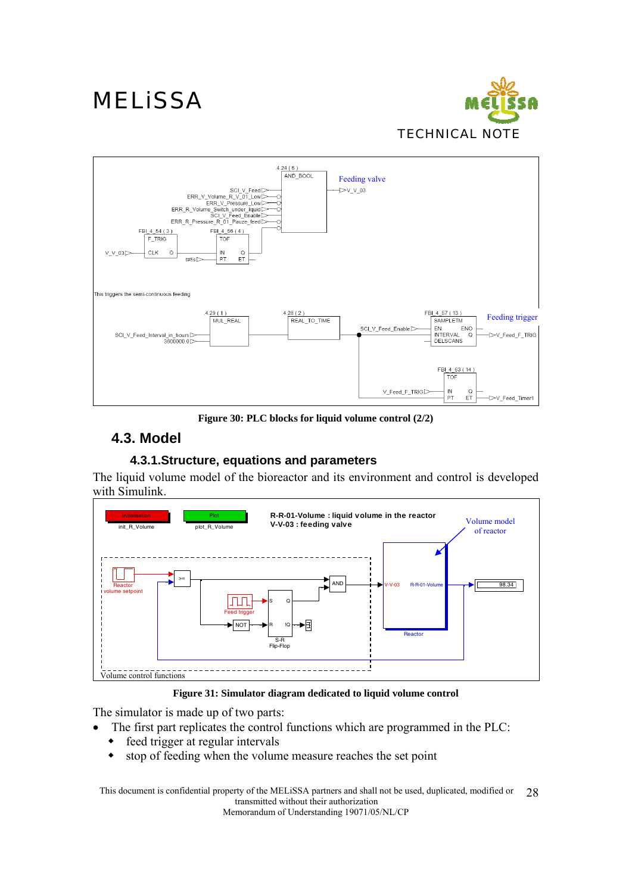



**Figure 30: PLC blocks for liquid volume control (2/2)** 

## **4.3. Model**

### **4.3.1.Structure, equations and parameters**

The liquid volume model of the bioreactor and its environment and control is developed with Simulink.



#### **Figure 31: Simulator diagram dedicated to liquid volume control**

The simulator is made up of two parts:

- The first part replicates the control functions which are programmed in the PLC:
	- feed trigger at regular intervals
	- stop of feeding when the volume measure reaches the set point

This document is confidential property of the MELiSSA partners and shall not be used, duplicated, modified or transmitted without their authorization 28

Memorandum of Understanding 19071/05/NL/CP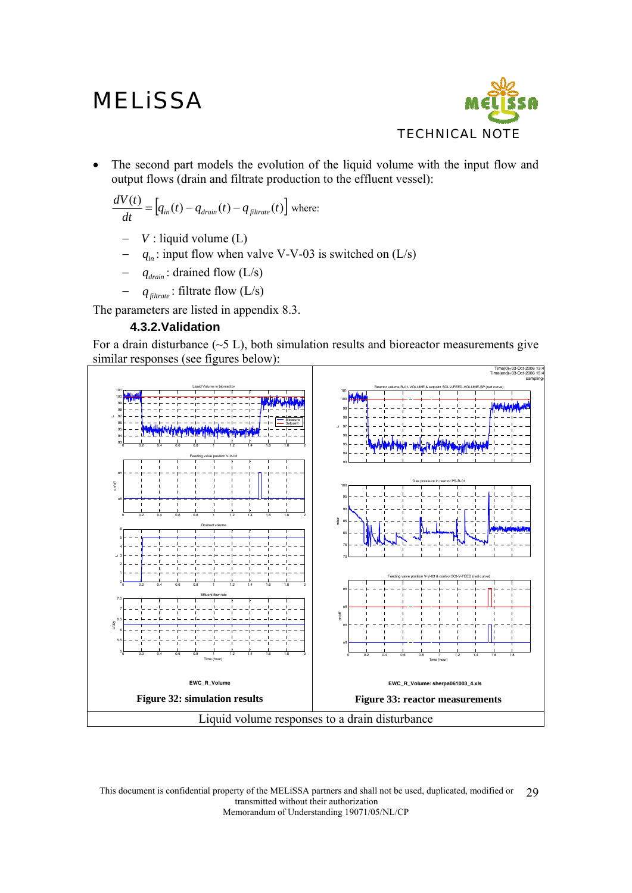

The second part models the evolution of the liquid volume with the input flow and output flows (drain and filtrate production to the effluent vessel):

$$
\frac{dV(t)}{dt} = [q_{in}(t) - q_{drain}(t) - q_{filterate}(t)]
$$
 where:

- *V* : liquid volume (L)
- $q_{in}$ : input flow when valve V-V-03 is switched on (L/s)
- $q_{drain}$ : drained flow (L/s)
- $q_{\text{filter}}$ : filtrate flow (L/s)

The parameters are listed in appendix 8.3.

### **4.3.2.Validation**

For a drain disturbance  $(-5 L)$ , both simulation results and bioreactor measurements give similar responses (see figures below):

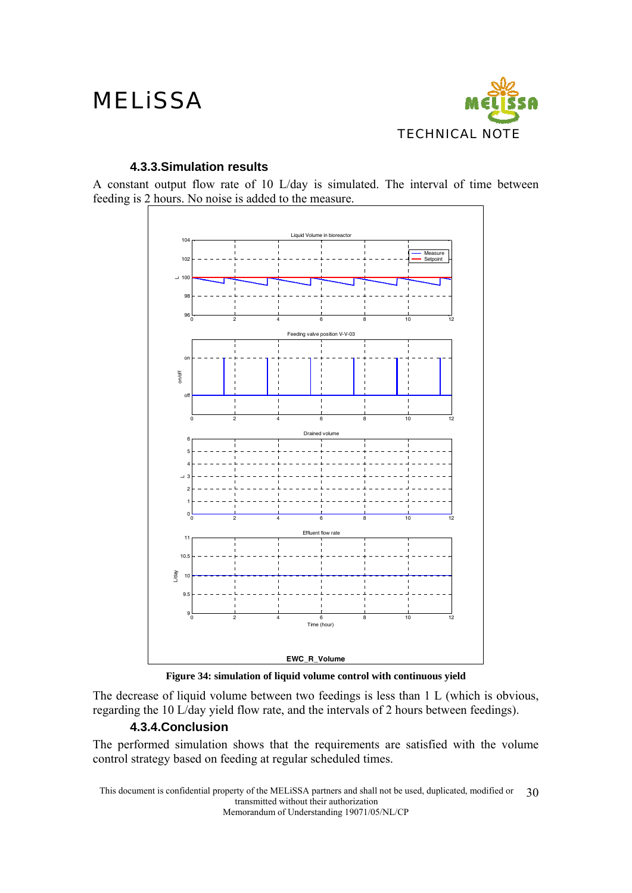

### **4.3.3.Simulation results**

A constant output flow rate of 10 L/day is simulated. The interval of time between feeding is 2 hours. No noise is added to the measure.



**Figure 34: simulation of liquid volume control with continuous yield** 

The decrease of liquid volume between two feedings is less than 1 L (which is obvious, regarding the 10 L/day yield flow rate, and the intervals of 2 hours between feedings).

### **4.3.4.Conclusion**

The performed simulation shows that the requirements are satisfied with the volume control strategy based on feeding at regular scheduled times.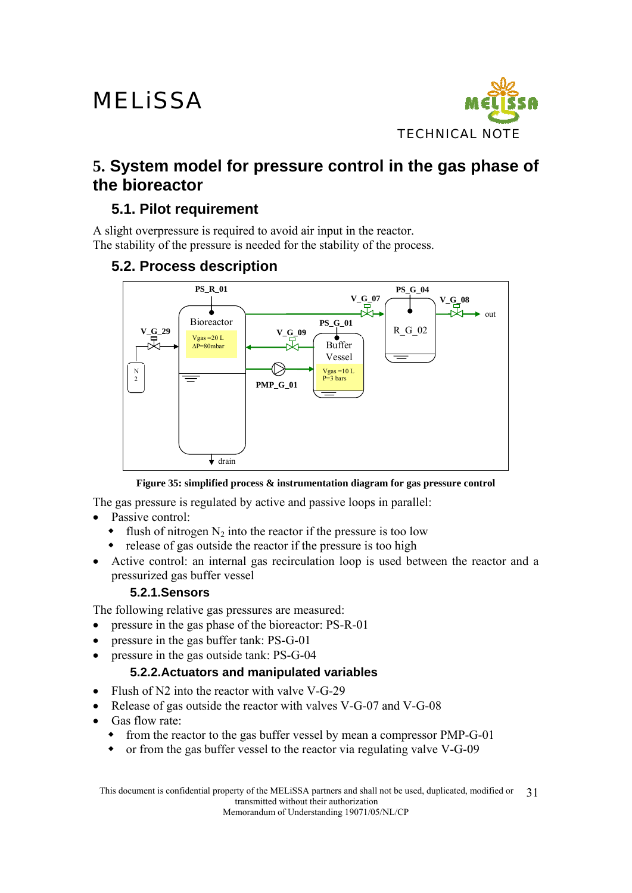

## **5. System model for pressure control in the gas phase of the bioreactor**

## **5.1. Pilot requirement**

A slight overpressure is required to avoid air input in the reactor. The stability of the pressure is needed for the stability of the process.

## **5.2. Process description**



**Figure 35: simplified process & instrumentation diagram for gas pressure control** 

The gas pressure is regulated by active and passive loops in parallel:

- Passive control:
	- $\bullet$  flush of nitrogen N<sub>2</sub> into the reactor if the pressure is too low
	- release of gas outside the reactor if the pressure is too high
- Active control: an internal gas recirculation loop is used between the reactor and a pressurized gas buffer vessel

### **5.2.1.Sensors**

The following relative gas pressures are measured:

- pressure in the gas phase of the bioreactor: PS-R-01
- pressure in the gas buffer tank: PS-G-01
- pressure in the gas outside tank: PS-G-04

### **5.2.2.Actuators and manipulated variables**

- Flush of N2 into the reactor with valve V-G-29
- Release of gas outside the reactor with valves V-G-07 and V-G-08
- Gas flow rate:
	- from the reactor to the gas buffer vessel by mean a compressor PMP-G-01
	- or from the gas buffer vessel to the reactor via regulating valve V-G-09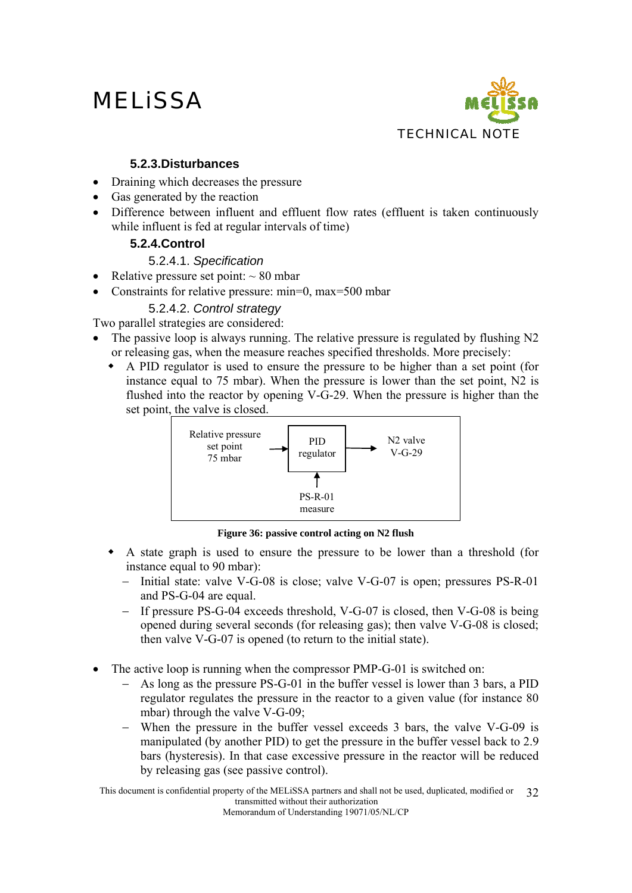

### **5.2.3.Disturbances**

- Draining which decreases the pressure
- Gas generated by the reaction
- Difference between influent and effluent flow rates (effluent is taken continuously while influent is fed at regular intervals of time)

### **5.2.4.Control**

### 5.2.4.1. *Specification*

- Relative pressure set point:  $\sim 80$  mbar
- Constraints for relative pressure: min=0, max=500 mbar

### 5.2.4.2. *Control strategy*

Two parallel strategies are considered:

- The passive loop is always running. The relative pressure is regulated by flushing N2 or releasing gas, when the measure reaches specified thresholds. More precisely:
	- A PID regulator is used to ensure the pressure to be higher than a set point (for instance equal to 75 mbar). When the pressure is lower than the set point, N2 is flushed into the reactor by opening V-G-29. When the pressure is higher than the set point, the valve is closed.



**Figure 36: passive control acting on N2 flush** 

- A state graph is used to ensure the pressure to be lower than a threshold (for instance equal to 90 mbar):
	- − Initial state: valve V-G-08 is close; valve V-G-07 is open; pressures PS-R-01 and PS-G-04 are equal.
	- − If pressure PS-G-04 exceeds threshold, V-G-07 is closed, then V-G-08 is being opened during several seconds (for releasing gas); then valve V-G-08 is closed; then valve V-G-07 is opened (to return to the initial state).
- The active loop is running when the compressor PMP-G-01 is switched on:
	- − As long as the pressure PS-G-01 in the buffer vessel is lower than 3 bars, a PID regulator regulates the pressure in the reactor to a given value (for instance 80 mbar) through the valve V-G-09;
	- − When the pressure in the buffer vessel exceeds 3 bars, the valve V-G-09 is manipulated (by another PID) to get the pressure in the buffer vessel back to 2.9 bars (hysteresis). In that case excessive pressure in the reactor will be reduced by releasing gas (see passive control).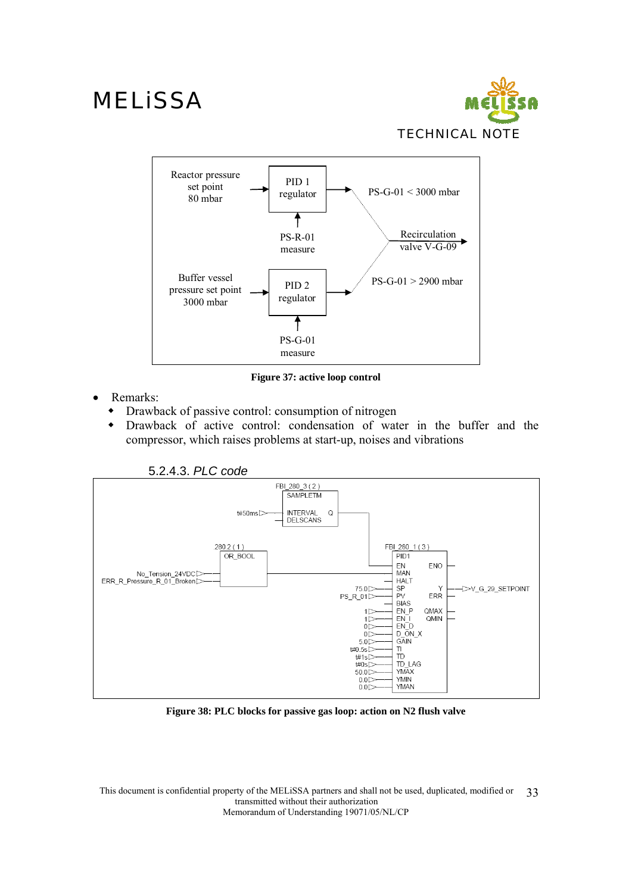



**Figure 37: active loop control** 

- Remarks:
	- Drawback of passive control: consumption of nitrogen
	- Drawback of active control: condensation of water in the buffer and the compressor, which raises problems at start-up, noises and vibrations



**Figure 38: PLC blocks for passive gas loop: action on N2 flush valve**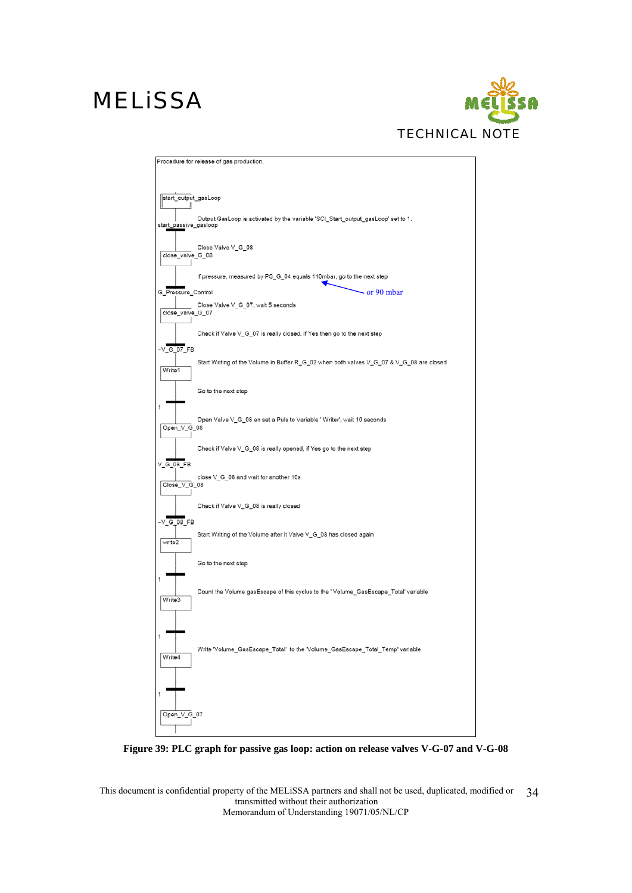

|                       | Procedure for release of gas production.                                                 |
|-----------------------|------------------------------------------------------------------------------------------|
|                       |                                                                                          |
|                       |                                                                                          |
| start_output_gasLoop  |                                                                                          |
|                       |                                                                                          |
| start_passive_gasloop | Output GasLoop is activated by the variable 'SCI_Start_output_gasLoop' set to 1.         |
|                       |                                                                                          |
|                       | Close Valve V_G_08                                                                       |
| close_valve_G_08      |                                                                                          |
|                       |                                                                                          |
|                       | If pressure, measured by PS_G_04 equals 110mbar, go to the next step                     |
| G_Pressure_Control    | - or 90 mbar                                                                             |
|                       | Close Valve V_G_07, wait 5 seconds                                                       |
| close_valve_G_07      |                                                                                          |
|                       | Check if Valve V_G_07 is really closed, if Yes then go to the next step                  |
|                       |                                                                                          |
| $\sqrt{G}$ 07 FB      |                                                                                          |
| Write1                | Start Writing of the Volume in Buffer R_G_02 when both valves V_G_07 & V_G_08 are closed |
|                       |                                                                                          |
|                       | Go to the next step                                                                      |
|                       |                                                                                          |
| 1                     |                                                                                          |
| Open_V_G_08           | Open Valve V_G_08 en set a Puls to Variable 'Writer', wait 10 seconds                    |
|                       |                                                                                          |
|                       | Check if Valve V_G_08 is really opened, if Yes go to the next step                       |
| $V$ G 08 FB           |                                                                                          |
|                       | close V_G_08 and wait for another 10s                                                    |
| Close_V_G_08          |                                                                                          |
|                       |                                                                                          |
|                       | Check if Valve V_G_08 is really closed                                                   |
| $\sqrt{G}$ 08 FB      |                                                                                          |
|                       | Start Writing of the Volume after it Valve V_G_08 has closed again                       |
| write2                |                                                                                          |
|                       | Go to the next step                                                                      |
|                       |                                                                                          |
| 1                     |                                                                                          |
| Write3                | Count the Volume gasEscape of this cyclus to the 'Volume_GasEscape_Total' variable       |
|                       |                                                                                          |
|                       |                                                                                          |
| 1                     |                                                                                          |
|                       | Write 'Volume_GasEscape_Total' to the 'Volume_GasEscape_Total_Temp' variable             |
| Write4                |                                                                                          |
|                       |                                                                                          |
|                       |                                                                                          |
| 1                     |                                                                                          |
|                       |                                                                                          |
| Open_V_G_07           |                                                                                          |
|                       |                                                                                          |

**Figure 39: PLC graph for passive gas loop: action on release valves V-G-07 and V-G-08**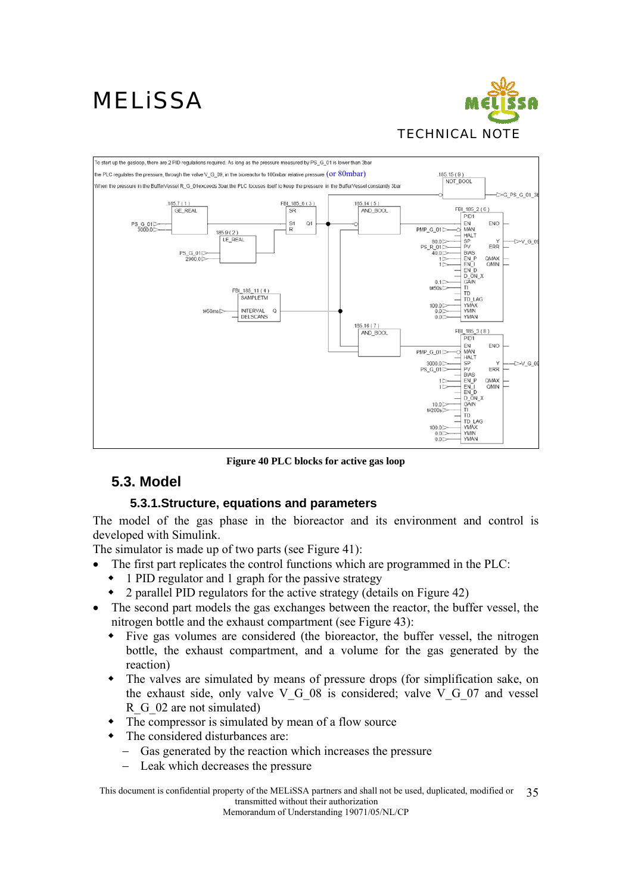



**Figure 40 PLC blocks for active gas loop** 

### **5.3. Model**

### **5.3.1.Structure, equations and parameters**

The model of the gas phase in the bioreactor and its environment and control is developed with Simulink.

The simulator is made up of two parts (see Figure 41):

- The first part replicates the control functions which are programmed in the PLC:
	- 1 PID regulator and 1 graph for the passive strategy
	- 2 parallel PID regulators for the active strategy (details on Figure 42)
- The second part models the gas exchanges between the reactor, the buffer vessel, the nitrogen bottle and the exhaust compartment (see Figure 43):
	- Five gas volumes are considered (the bioreactor, the buffer vessel, the nitrogen bottle, the exhaust compartment, and a volume for the gas generated by the reaction)
	- The valves are simulated by means of pressure drops (for simplification sake, on the exhaust side, only valve V G 08 is considered; valve V G 07 and vessel R G 02 are not simulated)
	- The compressor is simulated by mean of a flow source
	- The considered disturbances are:
		- Gas generated by the reaction which increases the pressure
		- Leak which decreases the pressure

This document is confidential property of the MELiSSA partners and shall not be used, duplicated, modified or transmitted without their authorization 35

Memorandum of Understanding 19071/05/NL/CP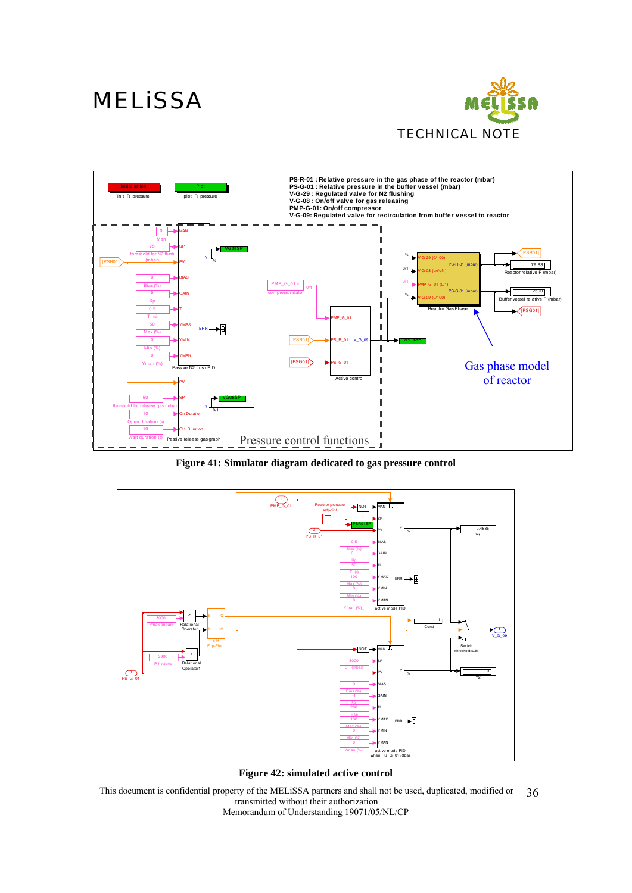



**Figure 41: Simulator diagram dedicated to gas pressure control** 



**Figure 42: simulated active control**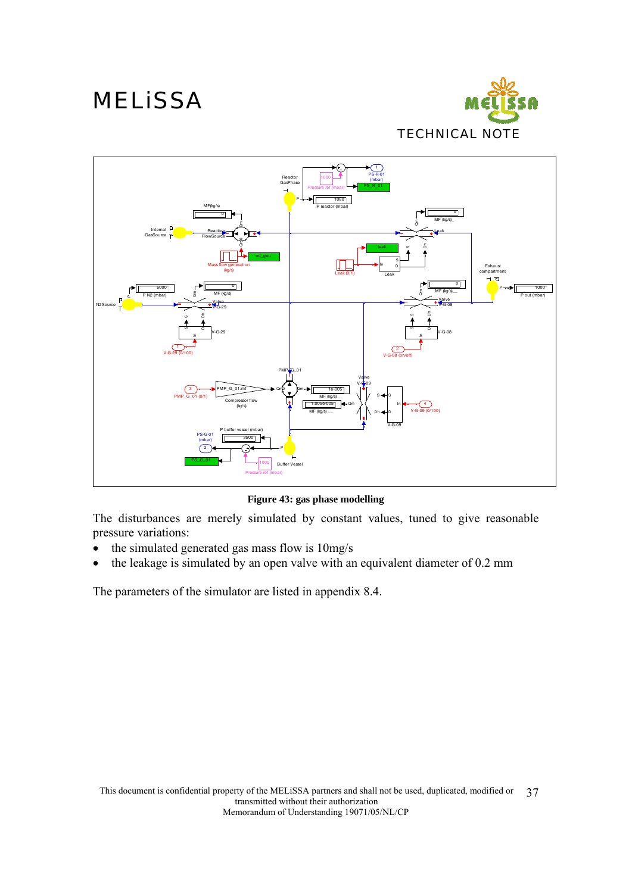



**Figure 43: gas phase modelling** 

The disturbances are merely simulated by constant values, tuned to give reasonable pressure variations:

- the simulated generated gas mass flow is 10mg/s
- the leakage is simulated by an open valve with an equivalent diameter of 0.2 mm

The parameters of the simulator are listed in appendix 8.4.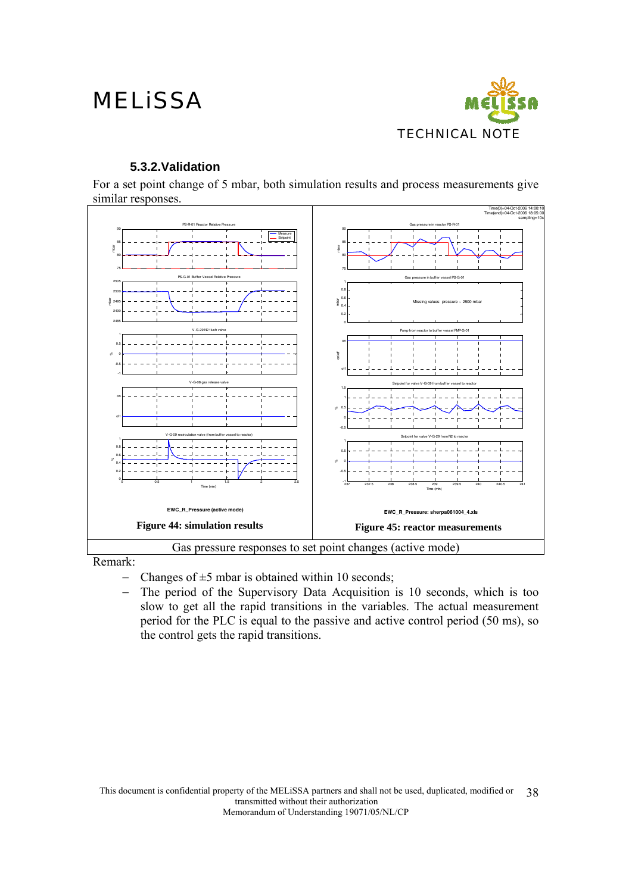

### **5.3.2.Validation**

For a set point change of 5 mbar, both simulation results and process measurements give similar responses.



Remark:

- Changes of  $\pm$ 5 mbar is obtained within 10 seconds;
- − The period of the Supervisory Data Acquisition is 10 seconds, which is too slow to get all the rapid transitions in the variables. The actual measurement period for the PLC is equal to the passive and active control period (50 ms), so the control gets the rapid transitions.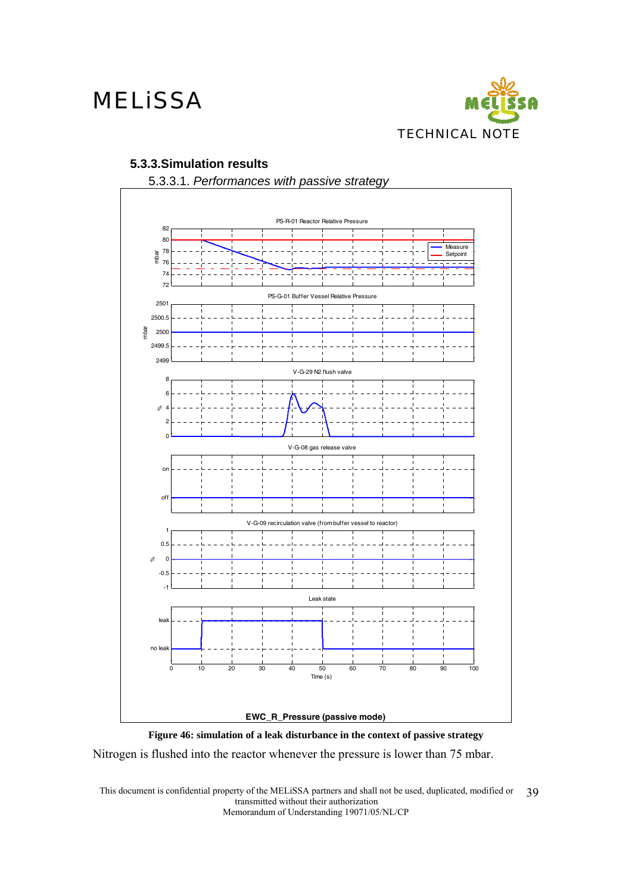

### **5.3.3.Simulation results**



5.3.3.1. *Performances with passive strategy* 



Nitrogen is flushed into the reactor whenever the pressure is lower than 75 mbar.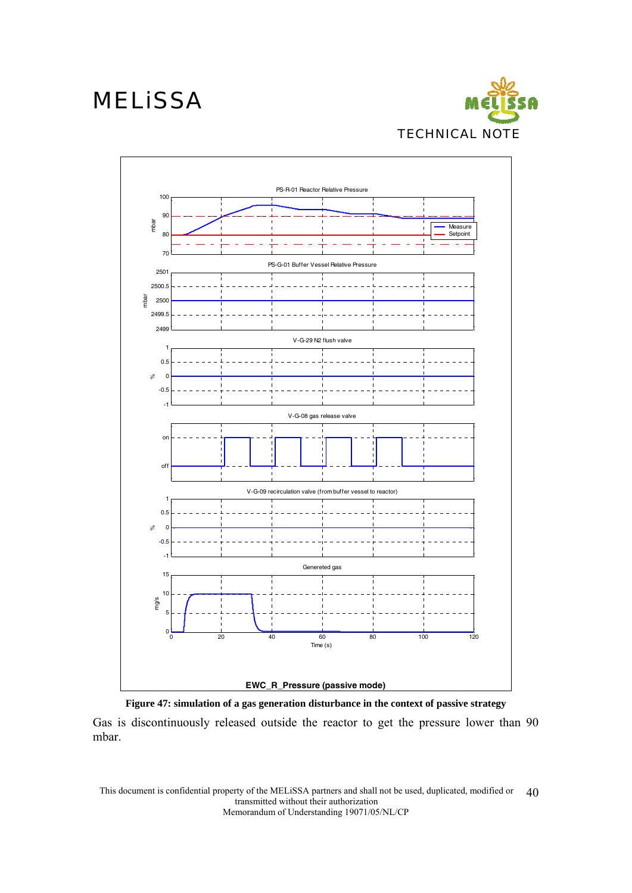





Gas is discontinuously released outside the reactor to get the pressure lower than 90 mbar.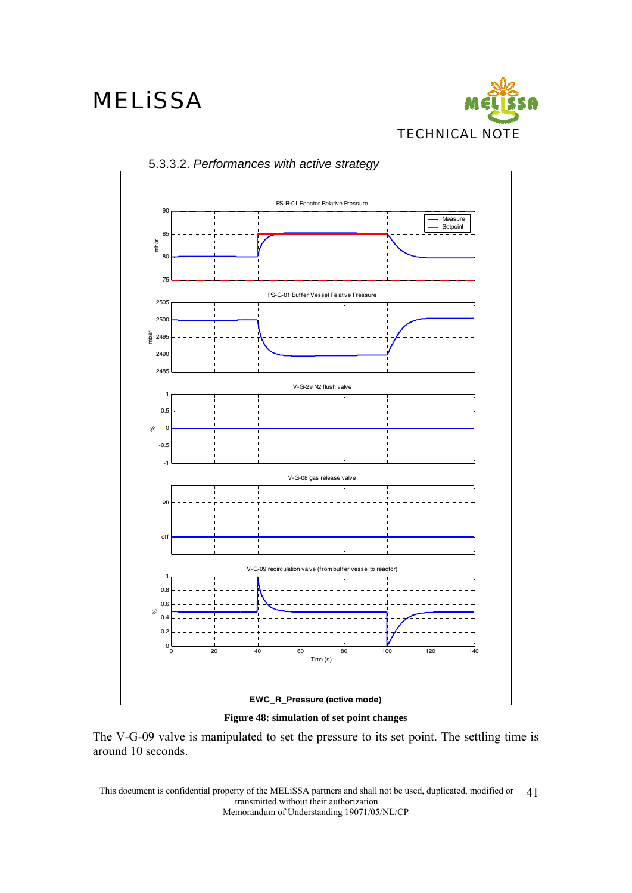



### 5.3.3.2. *Performances with active strategy*



The V-G-09 valve is manipulated to set the pressure to its set point. The settling time is around 10 seconds.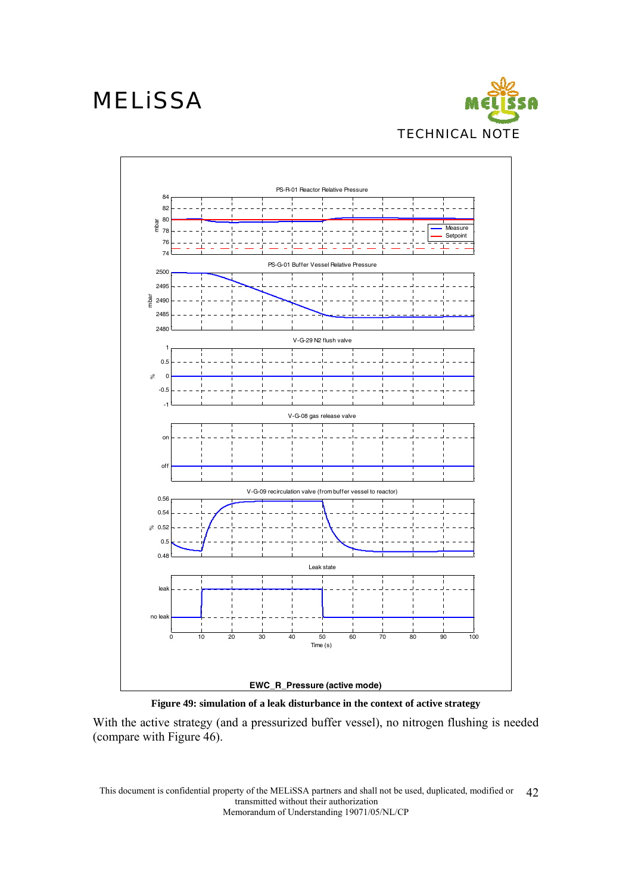



**Figure 49: simulation of a leak disturbance in the context of active strategy** 

With the active strategy (and a pressurized buffer vessel), no nitrogen flushing is needed (compare with Figure 46).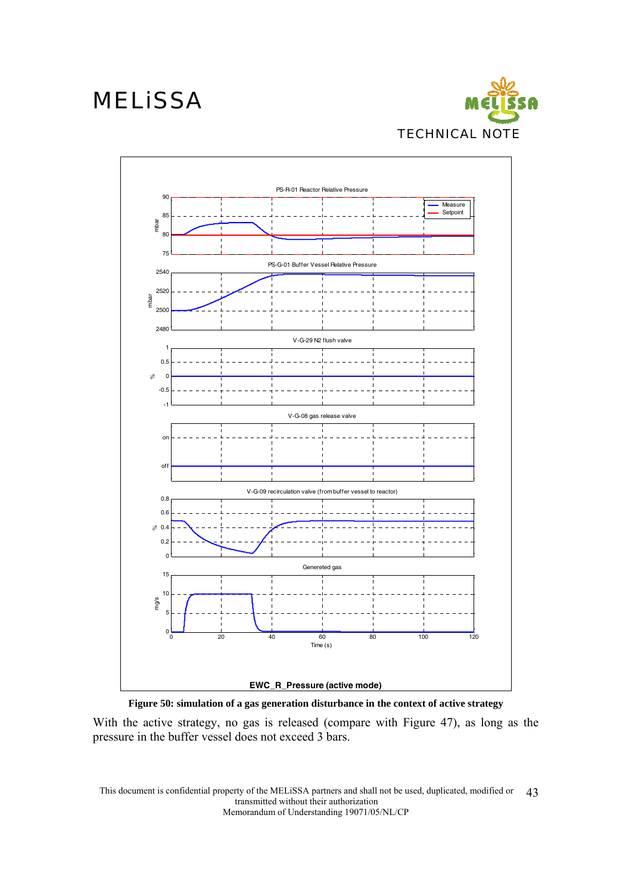



#### **Figure 50: simulation of a gas generation disturbance in the context of active strategy**

With the active strategy, no gas is released (compare with Figure 47), as long as the pressure in the buffer vessel does not exceed 3 bars.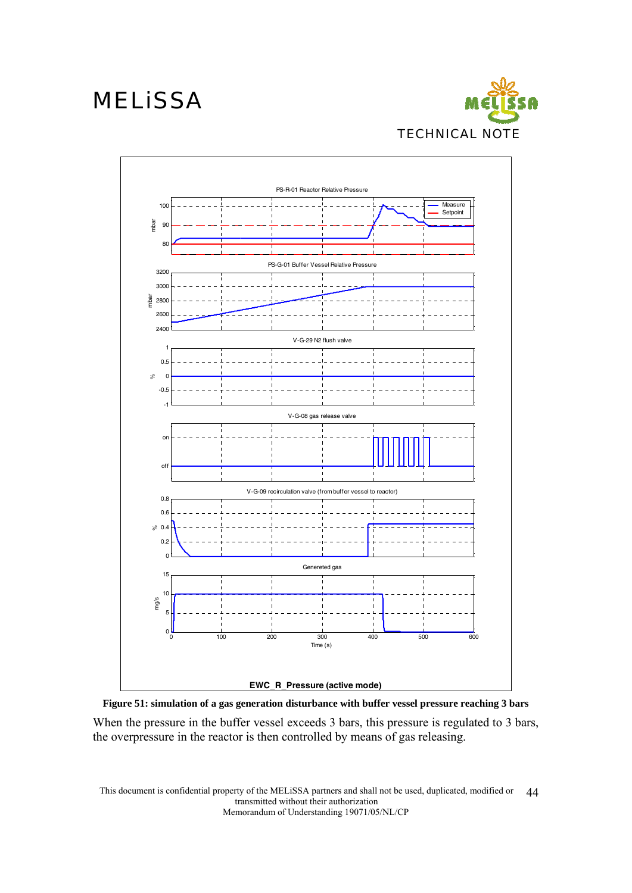



#### **Figure 51: simulation of a gas generation disturbance with buffer vessel pressure reaching 3 bars**

When the pressure in the buffer vessel exceeds 3 bars, this pressure is regulated to 3 bars, the overpressure in the reactor is then controlled by means of gas releasing.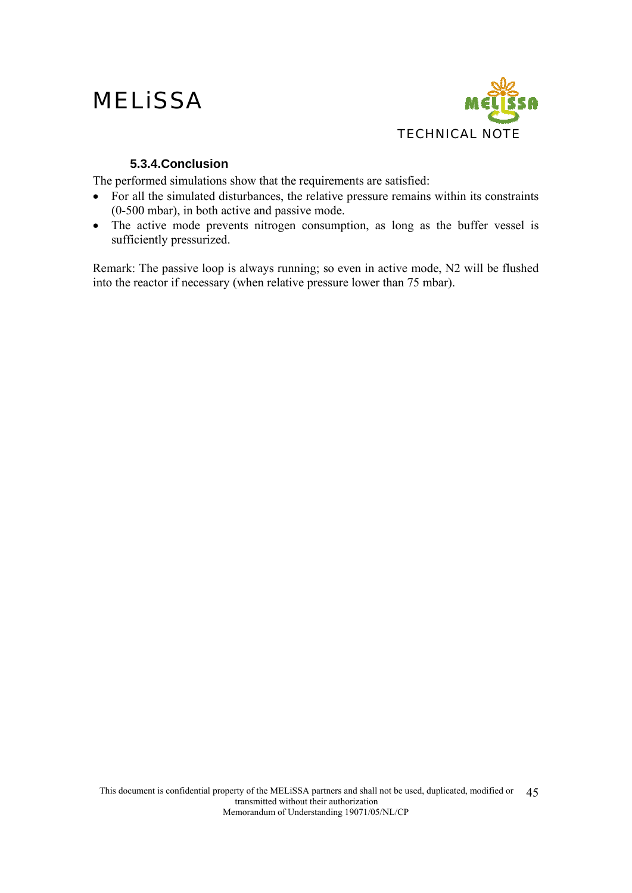## **MELISSA**



### **5.3.4.Conclusion**

The performed simulations show that the requirements are satisfied:

- For all the simulated disturbances, the relative pressure remains within its constraints (0-500 mbar), in both active and passive mode.
- The active mode prevents nitrogen consumption, as long as the buffer vessel is sufficiently pressurized.

Remark: The passive loop is always running; so even in active mode, N2 will be flushed into the reactor if necessary (when relative pressure lower than 75 mbar).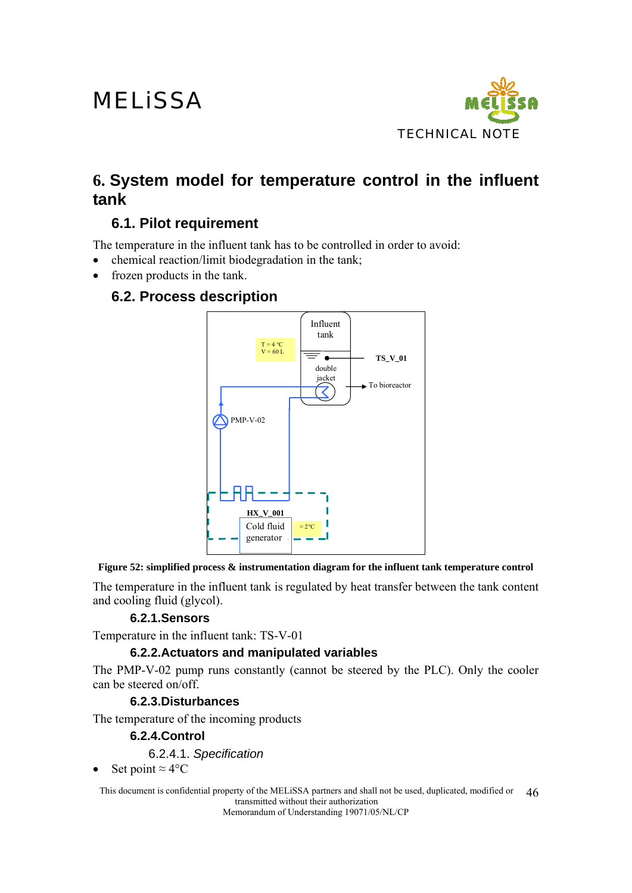

## **6. System model for temperature control in the influent tank**

### **6.1. Pilot requirement**

The temperature in the influent tank has to be controlled in order to avoid:

- chemical reaction/limit biodegradation in the tank;
- frozen products in the tank.

### **6.2. Process description**



**Figure 52: simplified process & instrumentation diagram for the influent tank temperature control** 

The temperature in the influent tank is regulated by heat transfer between the tank content and cooling fluid (glycol).

### **6.2.1.Sensors**

Temperature in the influent tank: TS-V-01

### **6.2.2.Actuators and manipulated variables**

The PMP-V-02 pump runs constantly (cannot be steered by the PLC). Only the cooler can be steered on/off.

#### **6.2.3.Disturbances**

The temperature of the incoming products

#### **6.2.4.Control**

6.2.4.1. *Specification* 

• Set point  $\approx 4^{\circ}$ C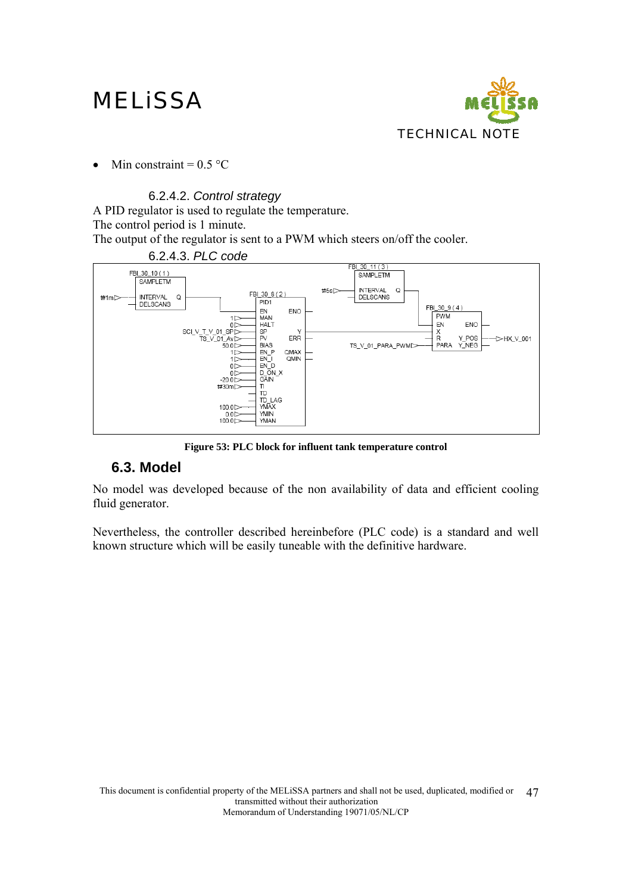

• Min constraint =  $0.5 \text{ °C}$ 

### 6.2.4.2. *Control strategy*

A PID regulator is used to regulate the temperature. The control period is 1 minute. The output of the regulator is sent to a PWM which steers on/off the cooler.



**Figure 53: PLC block for influent tank temperature control** 

### **6.3. Model**

No model was developed because of the non availability of data and efficient cooling fluid generator.

Nevertheless, the controller described hereinbefore (PLC code) is a standard and well known structure which will be easily tuneable with the definitive hardware.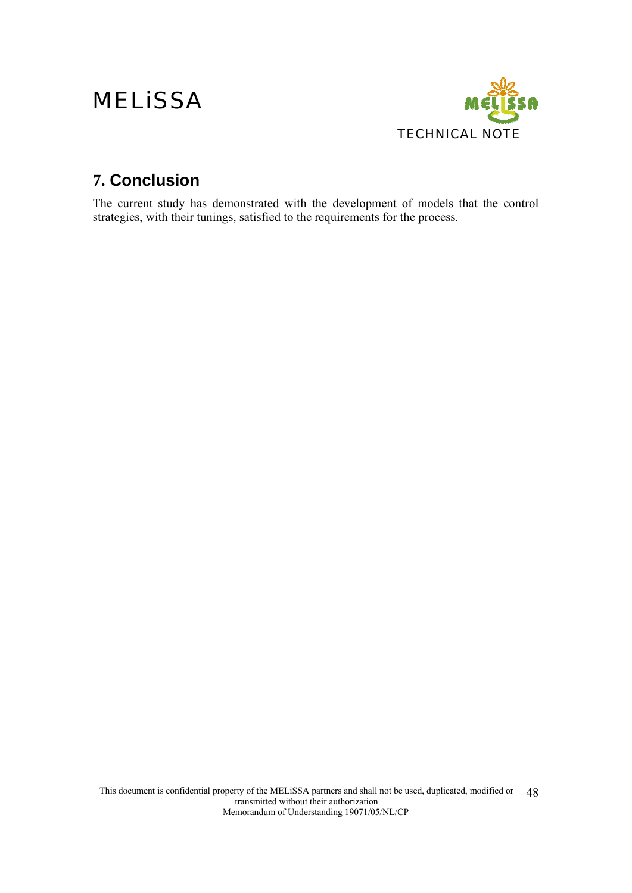

## **7. Conclusion**

The current study has demonstrated with the development of models that the control strategies, with their tunings, satisfied to the requirements for the process.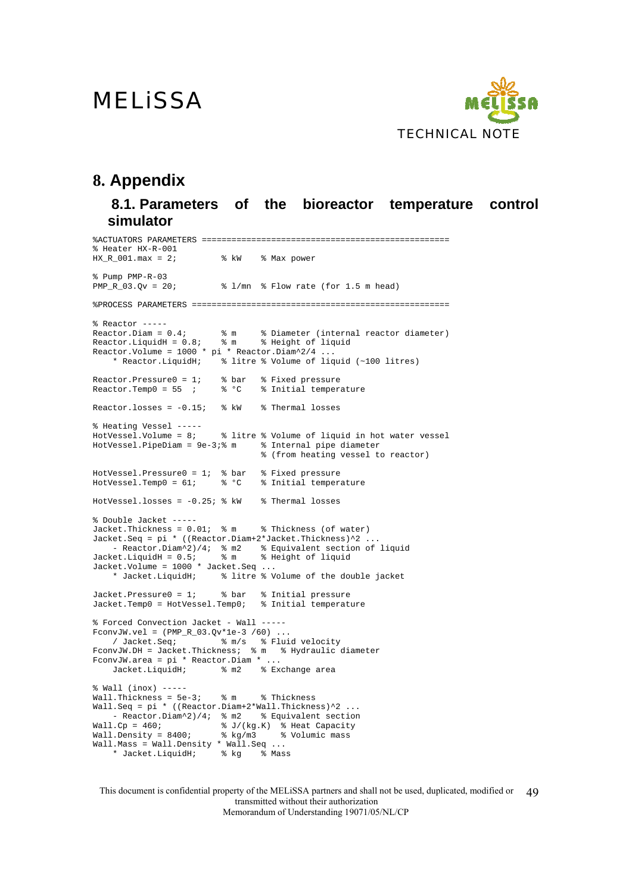

### **8. Appendix**

**8.1. Parameters of the bioreactor temperature control simulator** 

%ACTUATORS PARAMETERS ================================================== % Heater  $HX-R-001$ <br> $HX_R_001.max = 2;$ % kW % Max power % Pump  $PMP-R-03$ <br> $PMP R 03.0v = 20;$ % l/mn % Flow rate (for 1.5 m head) %PROCESS PARAMETERS ==================================================== % Reactor  $---$ <br>Reactor.Diam =  $0.4i$ % m % Diameter (internal reactor diameter)<br>% m % Height of liquid  $Reactor.LiquidH = 0.8;$  % m Reactor.Volume = 1000 \* pi \* Reactor.Diam^2/4 ... \* Reactor.LiquidH; % litre % Volume of liquid (~100 litres) Reactor.Pressure0 = 1; % bar % Fixed pressure<br>Reactor.Temp0 = 55 ; % % % Initial temperature Reactor.Temp0 =  $55$  ;  $% ^{6}$   $C$ Reactor.losses =  $-0.15$ ; % kW % Thermal losses % Heating Vessel -----<br>HotVessel.Volume = 8; % litre % Volume of liquid in hot water vessel<br>-3;% m % Internal pipe diameter  $HotVessel.Pipeliam = 9e-3:$  % m % (from heating vessel to reactor)  $HotVessel.Pressure0 = 1; % bar % Fixed pressure  
HotVessel.Temp0 = 61; % °C % Initial temper$ % Initial temperature HotVessel.losses =  $-0.25$ ;  $\frac{1}{2}$  kW  $\frac{1}{2}$  Thermal losses % Double Jacket ----- Jacket.Thickness = 0.01; % m % Thickness (of water) Jacket.Seq = pi \* ((Reactor.Diam+2\*Jacket.Thickness)^2 ... - Reactor.Diam^2)/4; % m2 % Equivalent section of liquid Jacket.LiquidH = 0.5; % m % Height of liquid Jacket.Volume = 1000 \* Jacket.Seq ... \* Jacket.LiquidH; % litre % Volume of the double jacket Jacket.Pressure0 = 1; % bar % Initial pressure Jacket.Temp0 = HotVessel.Temp0; % Initial temperature % Forced Convection Jacket - Wall ----- FconvJW.vel =  $(PMP_R_03.Qv*1e-3 /60)$  ...<br>
/ Jacket.Seq;  $\frac{1}{8}$  m/s  $\frac{2}{8}$  Flui  $\frac{1}{2}$   $\frac{1}{2}$   $\frac{1}{2}$   $\frac{1}{2}$   $\frac{1}{2}$   $\frac{1}{2}$   $\frac{1}{2}$   $\frac{1}{2}$   $\frac{1}{2}$   $\frac{1}{2}$   $\frac{1}{2}$   $\frac{1}{2}$   $\frac{1}{2}$   $\frac{1}{2}$   $\frac{1}{2}$   $\frac{1}{2}$   $\frac{1}{2}$   $\frac{1}{2}$   $\frac{1}{2}$   $\frac{1}{2}$   $\frac{1}{2}$   $\frac{1}{2}$  FconvJW.DH = Jacket.Thickness; % m % Hydraulic diameter FconvJW.area = pi \* Reactor.Diam \* ... Jacket.LiquidH; % m2 % Exchange area % Wall (inox) ----- Wall.Thickness = 5e-3; % m % Thickness Wall.Seq = pi \* ((Reactor.Diam+2\*Wall.Thickness)^2 ... - Reactor.Diam^2)/4; % m2 % Equivalent section Wall.Cp = 460; % J/(kg.K) % Heat Capacity Wall.Density = 8400; % kg/m3 % Volumic mass Wall.Mass = Wall.Density \* Wall.Seq ... \* Jacket.LiquidH; % kg % Mass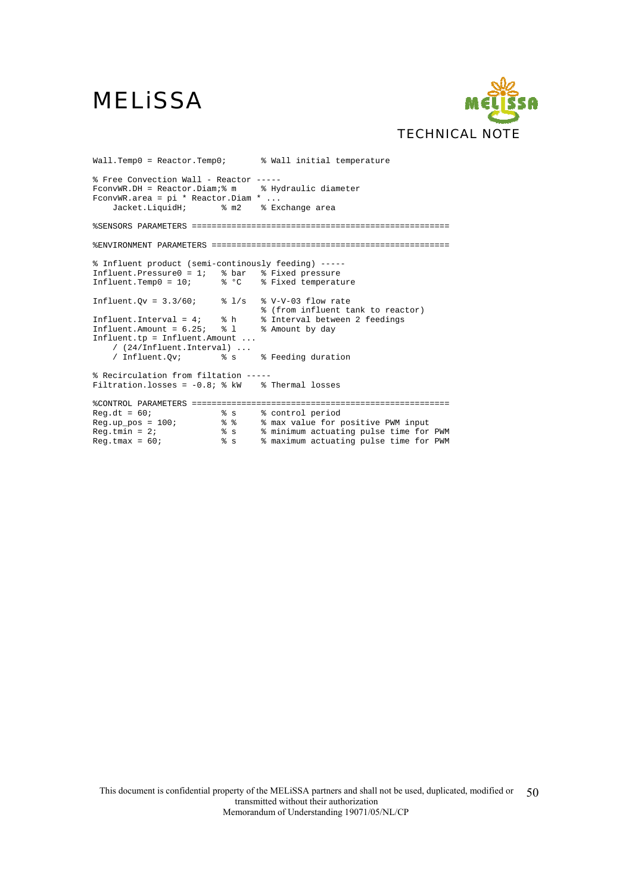

Wall.Temp0 = Reactor.Temp0; <br> % Wall initial temperature % Free Convection Wall - Reactor ----- FconvWR.DH = Reactor.Diam;% m % Hydraulic diameter FconvWR.area = pi \* Reactor.Diam \* ...<br>Jacket.LiquidH; \* m2 \* Ex % m2 % Exchange area %SENSORS PARAMETERS ==================================================== %ENVIRONMENT PARAMETERS ================================================ % Influent product (semi-continously feeding) ----- Influent.Pressure0 = 1; % bar % Fixed pressure Influent.Temp0 = 10; % °C % Fixed temperature Influent.Qv =  $3.3/60$ ; %  $1/s$  % V-V-03 flow rate % (from influent tank to reactor) Influent.Interval = 4; % h % Interval between 2 feedings Influent.Amount =  $6.25$ ;  $\frac{1}{8}$  1 % Amount by day Influent.tp = Influent.Amount ... / (24/Influent.Interval) ... / Influent.Qv; % s % Feeding duration % Recirculation from filtation -----<br>Filtration.losses = -0.8; % kW % Thermal losses Filtration.losses =  $-0.8$ ; % kW %CONTROL PARAMETERS ==================================================== Reg.dt = 60; % s % control period Reg.up\_pos = 100; % % % max value for positive PWM input Reg.tmin = 2; % s % minimum actuating pulse time for PWM Reg.tmax = 60; % s % maximum actuating pulse time for PWM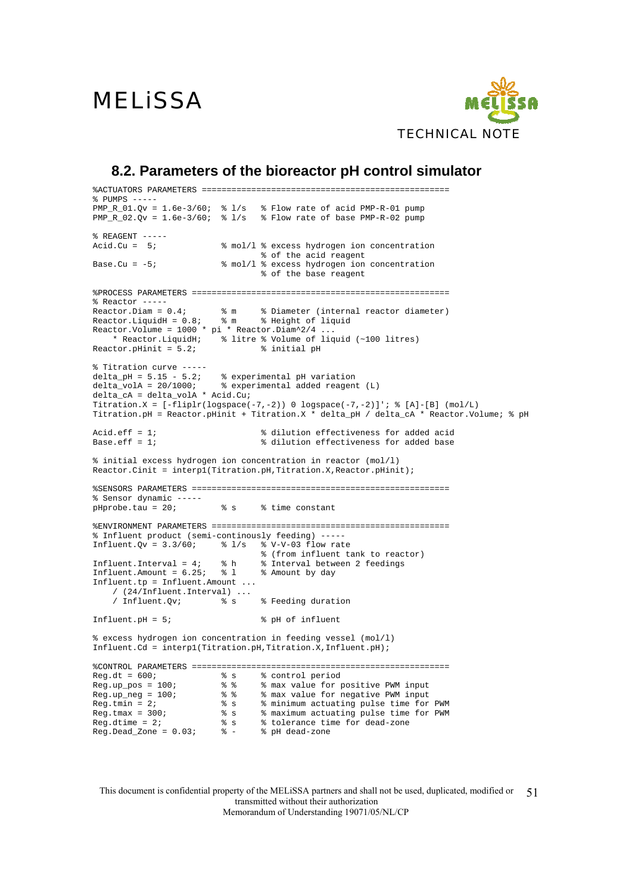

### **8.2. Parameters of the bioreactor pH control simulator**

%ACTUATORS PARAMETERS ================================================== % PUMPS -- $PMP_R_01.Qv = 1.6e-3/60;$  %  $1/s$  % Flow rate of acid  $PMP-R-01$  pump  $PMP_R_02.Qv = 1.6e-3/60;$  %  $1/s$  % Flow rate of base  $PMP-R-02$  pump  $%$  REAGENT  $---$ Acid.Cu = 5;  $\frac{1}{2}$  % mol/l % excess hydrogen ion concentration % of the acid reagent<br>Base.Cu =  $-5$ ;<br>% mol/l % excess hydrogen ion % mol/l % excess hydrogen ion concentration % of the base reagent %PROCESS PARAMETERS ====================================================  $%$  Reactor  $---$ Reactor.Diam =  $0.4$ ;  $\text{m}$  & m  $\text{N}$  Biameter (internal reactor diameter)<br>Reactor.LiquidH =  $0.8$ ;  $\text{m}$  & Height of liquid Reactor.LiquidH =  $0.8$ ;  $R$ eactor.Volume = 1000 \* pi \* Reactor.Diam^2/4 ... \* Reactor.LiquidH;  $\overline{\phantom{a}}$  & litre & Volume of liquid (~100 litres)<br>stor.pHinit = 5.2;  $\overline{\phantom{a}}$  & initial pH Reactor.pHinit =  $5.2i$ % Titration curve ---- delta\_pH = 5.15 - 5.2; % experimental pH variation delta\_volA = 20/1000; % experimental added reagent (L) delta\_cA = delta\_volA \* Acid.Cu; Titration.X =  $[-\text{fliplr}(\text{logspace}(-7,-2))]$  0 logspace(-7,-2)]'; % [A]-[B] (mol/L) Titration.pH = Reactor.pHinit + Titration. $X *$  delta pH / delta cA \* Reactor.Volume;  $\frac{1}{2}$  pH Acid.eff = 1;<br>Base eff = 1;<br> $\frac{1}{2}$  added acid = 1;<br> $\frac{1}{2}$  added according = 1; % dilution effectiveness for added base % initial excess hydrogen ion concentration in reactor (mol/l) Reactor.Cinit = interp1(Titration.pH,Titration.X,Reactor.pHinit); %SENSORS PARAMETERS ==================================================== % Sensor dynamic ---- pHprobe.tau = 20; <br> % s % time constant %ENVIRONMENT PARAMETERS ================================================ % Influent product (semi-continously feeding) ----- Influent.Qv =  $3.3/60$ ; %  $1/s$  % V-V-03 flow rate % (from influent tank to reactor)<br>% Interval between 2 feedings Influent.Interval =  $4;$   $\frac{1}{8}$  h Influent.Amount =  $6.25$ ;  $\frac{1}{8}$  1 % Amount by day Influent.tp = Influent.Amount ... /  $(24/\text{Influent.Interval})$  ...<br>/ Influent.Ov; % s % Feeding duration Influent.pH =  $5$ ;  $\frac{1}{2}$   $\frac{1}{2}$   $\frac{1}{2}$   $\frac{1}{2}$   $\frac{1}{2}$   $\frac{1}{2}$   $\frac{1}{2}$   $\frac{1}{2}$   $\frac{1}{2}$   $\frac{1}{2}$   $\frac{1}{2}$   $\frac{1}{2}$   $\frac{1}{2}$   $\frac{1}{2}$   $\frac{1}{2}$   $\frac{1}{2}$   $\frac{1}{2}$   $\frac{1}{2}$   $\frac{1}{2}$   $\frac{1}{2}$   $\$ % excess hydrogen ion concentration in feeding vessel (mol/l) Influent.Cd = interp1(Titration.pH,Titration.X,Influent.pH); %CONTROL PARAMETERS ==================================================== Reg.dt = 600; % s % control period Reg.up\_pos = 100; % % % max value for positive PWM input Reg.up\_neg = 100; % % % max value for negative PWM input Reg.tmin = 2; % s % minimum actuating pulse time for PWM Reg.tmax = 300; % s % maximum actuating pulse time for PWM Reg.dtime = 2; % s % tolerance time for dead-zone Reg.Dead\_Zone = 0.03; % - % pH dead-zone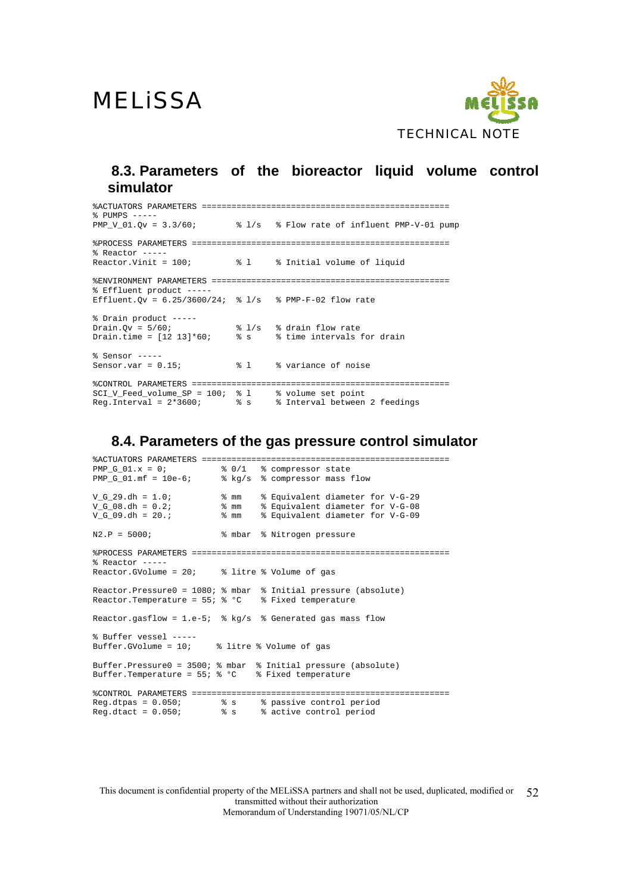

### **8.3. Parameters of the bioreactor liquid volume control simulator**

%ACTUATORS PARAMETERS ================================================== % PUMPS -----<br>PMP\_V\_01.Qv =  $3.3/60$ ; % l/s % Flow rate of influent PMP-V-01 pump %PROCESS PARAMETERS ==================================================== % Reactor  $---$ <br>Reactor.Vinit = 100; % 1 % Initial volume of liquid %ENVIRONMENT PARAMETERS ================================================ % Effluent product ----- Effluent.Qv =  $6.25/3600/24$ ; % l/s % PMP-F-02 flow rate % Drain product ----- Drain.Qv =  $5/60$ ;  $\frac{1}{s}$   $\frac{1}{s}$  % drain flow rate Drain.time = [12 13]\*60; % s % time intervals for drain % Sensor -----<br>Sensor.var = 0.15; % l % variance of noise %CONTROL PARAMETERS ==================================================== SCI\_V\_Feed\_volume\_SP = 100; % l % volume set point Reg.Interval = 2\*3600; % s % Interval between 2 feedings

#### **8.4. Parameters of the gas pressure control simulator**

%ACTUATORS PARAMETERS ================================================== % 0/1 % compressor state PMP\_G\_01.mf = 10e-6;  $\frac{1}{2}$  & kg/s % compressor mass flow<br>
V\_G\_29.dh = 1.0;  $\frac{1}{2}$  & mm % Equivalent diameter<br>
V\_G\_08.dh = 0.2;  $\frac{1}{2}$  & mm % F<sub>outive</sub>  $V_G = 29 \cdot dh = 1.0;$  % mm % Equivalent diameter for V-G-29<br>V G 08.dh = 0.2; % mm % Equivalent diameter for V-G-08 V\_G\_08.dh = 0.2; % mm % Equivalent diameter for V-G-08 V\_G\_09.dh = 20.; % mm % Equivalent diameter for V-G-09 N2.P = 5000; % mbar % Nitrogen pressure %PROCESS PARAMETERS ==================================================== % Reactor -----<br>Reactor.GVolume = 20; % litre % Volume of gas Reactor.Pressure0 = 1080; % mbar % Initial pressure (absolute) Reactor.Temperature =  $55;$  % °C % Fixed temperature Reactor.gasflow = 1.e-5;  $%$  kg/s  $%$  Generated gas mass flow % Buffer vessel -----<br>Buffer GVolume = 10; % litre % Volume of gas Buffer.Pressure0 = 3500; % mbar % Initial pressure (absolute) Buffer.Temperature =  $55;$  % °C % Fixed temperature %CONTROL PARAMETERS ==================================================== Reg.dtpas = 0.050; % s % passive control period Reg.dtact = 0.050; % s % active control period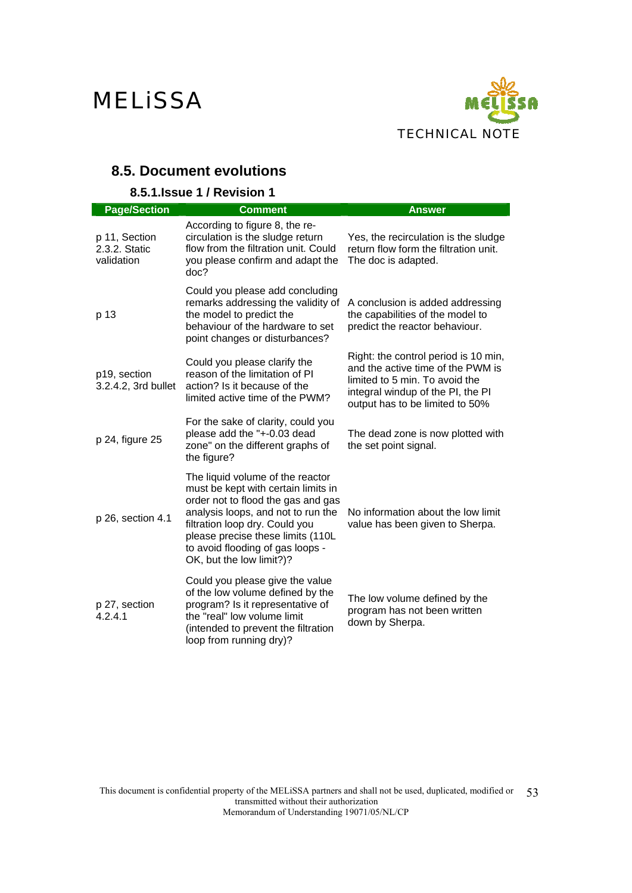

## **8.5. Document evolutions**

### **8.5.1.Issue 1 / Revision 1**

| <b>Page/Section</b>                          | <b>Comment</b>                                                                                                                                                                                                                                                                             | <b>Answer</b>                                                                                                                                                                       |
|----------------------------------------------|--------------------------------------------------------------------------------------------------------------------------------------------------------------------------------------------------------------------------------------------------------------------------------------------|-------------------------------------------------------------------------------------------------------------------------------------------------------------------------------------|
| p 11, Section<br>2.3.2. Static<br>validation | According to figure 8, the re-<br>circulation is the sludge return<br>flow from the filtration unit. Could<br>you please confirm and adapt the<br>doc?                                                                                                                                     | Yes, the recirculation is the sludge<br>return flow form the filtration unit.<br>The doc is adapted.                                                                                |
| p 13                                         | Could you please add concluding<br>remarks addressing the validity of<br>the model to predict the<br>behaviour of the hardware to set<br>point changes or disturbances?                                                                                                                    | A conclusion is added addressing<br>the capabilities of the model to<br>predict the reactor behaviour.                                                                              |
| p19, section<br>3.2.4.2, 3rd bullet          | Could you please clarify the<br>reason of the limitation of PI<br>action? Is it because of the<br>limited active time of the PWM?                                                                                                                                                          | Right: the control period is 10 min,<br>and the active time of the PWM is<br>limited to 5 min. To avoid the<br>integral windup of the PI, the PI<br>output has to be limited to 50% |
| p 24, figure 25                              | For the sake of clarity, could you<br>please add the "+-0.03 dead<br>zone" on the different graphs of<br>the figure?                                                                                                                                                                       | The dead zone is now plotted with<br>the set point signal.                                                                                                                          |
| p 26, section 4.1                            | The liquid volume of the reactor<br>must be kept with certain limits in<br>order not to flood the gas and gas<br>analysis loops, and not to run the<br>filtration loop dry. Could you<br>please precise these limits (110L<br>to avoid flooding of gas loops -<br>OK, but the low limit?)? | No information about the low limit<br>value has been given to Sherpa.                                                                                                               |
| p 27, section<br>4.2.4.1                     | Could you please give the value<br>of the low volume defined by the<br>program? Is it representative of<br>the "real" low volume limit<br>(intended to prevent the filtration<br>loop from running dry)?                                                                                   | The low volume defined by the<br>program has not been written<br>down by Sherpa.                                                                                                    |